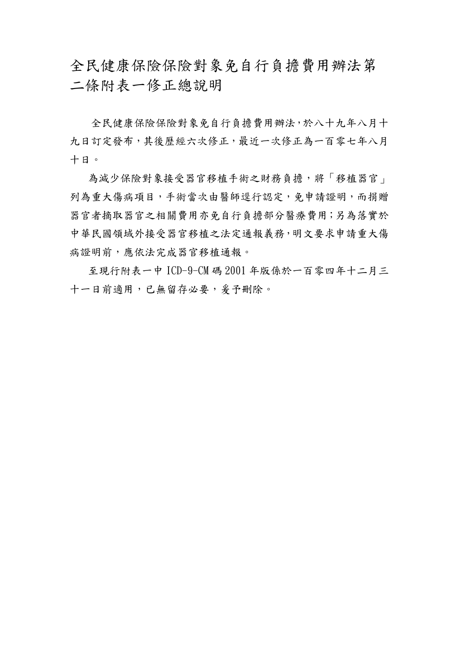全民健康保險保險對象免自行負擔費用辦法第 二條附表一修正總說明

 全民健康保險保險對象免自行負擔費用辦法,於八十九年八月十 九日訂定發布,其後歷經六次修正,最近一次修正為一百零七年八月 十日。

為減少保險對象接受器官移植手術之財務負擔,將「移植器官」 列為重大傷病項目,手術當次由醫師逕行認定,免申請證明,而捐贈 器官者摘取器官之相關費用亦免自行負擔部分醫療費用;另為落實於 中華民國領域外接受器官移植之法定通報義務,明文要求申請重大傷 病證明前,應依法完成器官移植通報。

至現行附表一中 ICD-9-CM 碼 2001 年版係於一百零四年十二月三 十一日前適用,已無留存必要,爰予刪除。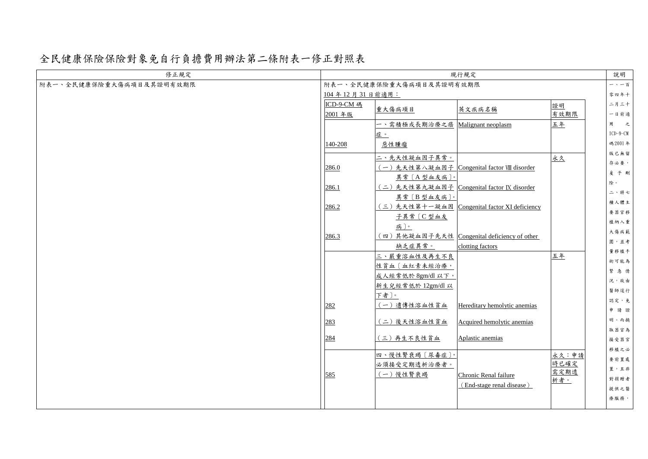全民健康保險保險對象免自行負擔費用辦法第二條附表一修正對照表

| 修正規定                     | 現行規定                     |                                                                                |                                                                   |                              | 說明                                           |
|--------------------------|--------------------------|--------------------------------------------------------------------------------|-------------------------------------------------------------------|------------------------------|----------------------------------------------|
| 附表一、全民健康保險重大傷病項目及其證明有效期限 | 附表一、全民健康保險重大傷病項目及其證明有效期限 |                                                                                |                                                                   |                              | 一、一百                                         |
|                          | 104年12月31日前適用:           |                                                                                |                                                                   |                              | 零四年十                                         |
|                          | ICD-9-CM 碼<br>2001年版     | 重大傷病項目                                                                         | 英文疾病名稱                                                            | 證明<br>有效期限                   | 二月三十<br>一日前適                                 |
|                          |                          | 一、需積極或長期治療之癌<br>症。                                                             | Malignant neoplasm                                                | 五年<br>用                      | 之<br>$ICD-9-CM$                              |
|                          | 140-208                  | 惡性腫瘤                                                                           |                                                                   |                              | 碼 2001年<br>版已無留                              |
|                          | 286.0                    | 二、先天性凝血因子異常。<br>異常〔A型血友病〕。                                                     | (一)先天性第八凝血因子  Congenital factor VIII disorder                     | 永久                           | 存必要,<br>爰予刪                                  |
|                          | 286.1                    | 異常〔B型血友病〕。                                                                     | (二)先天性第九凝血因子 Congenital factor IX disorder                        | 除。                           | 二、將七<br>種人體主                                 |
|                          | 286.2                    | (三)先天性第十一凝血因<br>子異常 [C型血友<br>病)。                                               | Congenital factor XI deficiency                                   |                              | 要器官移<br>植納入重                                 |
|                          | 286.3                    | 缺乏症異常。                                                                         | (四)其他凝血因子先天性   Congenital deficiency of other<br>clotting factors |                              | 大傷病範<br>圍,並考<br>量移植手                         |
|                          |                          | 三、嚴重溶血性及再生不良<br>性貧血〔血紅素未經治療,<br>成人經常低於 8gm/dl 以下,<br>新生兒經常低於 12gm/dl 以<br>下者〕。 |                                                                   | 五年                           | 術可能為<br>緊急情<br>況,故由<br>醫師逕行                  |
|                          | 282                      | (一) 遺傳性溶血性貧血                                                                   | Hereditary hemolytic anemias                                      |                              | 認定,免<br>申請證                                  |
|                          | 283                      | (二)後天性溶血性貧血                                                                    | Acquired hemolytic anemias                                        |                              | 明。而摘<br>取器官為                                 |
|                          | 284                      | (三)再生不良性貧血                                                                     | Aplastic anemias                                                  |                              | 接受器官                                         |
|                          | 585                      | 四、慢性腎衰竭〔尿毒症〕,<br>必須接受定期透析治療者。<br>(一)慢性腎衰竭                                      | Chronic Renal failure<br>(End-stage renal disease)                | 永久:申請<br>時已確定<br>需定期透<br>析者。 | 移植之必<br>要前置處<br>置,且非<br>對捐贈者<br>提供之醫<br>療服務, |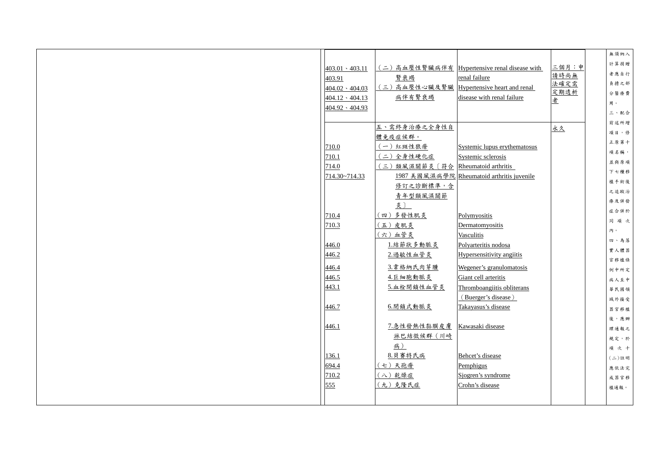|                       |                                   |                                              |       | 無須納入     |
|-----------------------|-----------------------------------|----------------------------------------------|-------|----------|
|                       |                                   | (二)高血壓性腎臟病伴有 Hypertensive renal disease with | 三個月:申 | 計算捐贈     |
| $403.01 \cdot 403.11$ |                                   | renal failure                                | 請時尚無  | 者應自行     |
| 403.91                | 賢衰竭                               | Hypertensive heart and renal                 | 法確定需  | 負擔之部     |
| $404.02 \cdot 404.03$ | (三)高血壓性心臟及腎臟                      |                                              | 定期透析  | 分醫療費     |
| $404.12 \cdot 404.13$ | 病伴有腎衰竭                            | disease with renal failure                   | 者     | 用。       |
| $404.92 \cdot 404.93$ |                                   |                                              |       | 三、配合     |
|                       |                                   |                                              |       | 前述所增     |
|                       | 五、需終身治療之全身性自                      |                                              | 永久    | 項目,修     |
|                       | 體免疫症候群。                           |                                              |       | 正原第十     |
| 710.0                 | (一)紅斑性狼瘡                          | Systemic lupus erythematosus                 |       | 項名稱,     |
| 710.1                 | (二)全身性硬化症                         | Systemic sclerosis                           |       | 並與原項     |
| 714.0                 | 類風濕關節炎〔符合<br>$(\boldsymbol{\Xi})$ | Rheumatoid arthritis                         |       | 下七種移     |
| 714.30~714.33         |                                   | 1987 美國風濕病學院 Rheumatoid arthritis juvenile   |       | 植手術後     |
|                       | 修訂之診斷標準,含                         |                                              |       | 之追蹤治     |
|                       | 青年型類風濕關節                          |                                              |       | 療及併發     |
|                       | 炎)                                |                                              |       | 症合併於     |
| 710.4                 | (四)多發性肌炎                          | Polymyositis                                 |       |          |
| 710.3                 | (五)皮肌炎                            | Dermatomyositis                              |       | 同項次      |
|                       | (六)血管炎                            | Vasculitis                                   |       | 内。       |
| 446.0                 | 1.結節狀多動脈炎                         | Polyarteritis nodosa                         |       | 四、為落     |
| 446.2                 | 2. 過敏性血管炎                         | <b>Hypersensitivity angilitis</b>            |       | 實人體器     |
|                       | 3.韋格納氏肉芽腫                         | Wegener's granulomatosis                     |       | 官移植條     |
| 446.4                 |                                   |                                              |       | 例中所定     |
| 446.5                 | 4.巨細胞動脈炎                          | Giant cell arteritis                         |       | 病人至中     |
| 443.1                 | 5.血栓閉鎖性血管炎                        | Thromboangiitis obliterans                   |       | 華民國領     |
|                       |                                   | (Buerger's disease)                          |       | 域外接受     |
| 446.7                 | 6.閉鎖式動脈炎                          | Takayasus's disease                          |       | 器官移植     |
|                       |                                   |                                              |       | 後,應辦     |
| 446.1                 | 7.急性發熱性黏膜皮膚                       | Kawasaki disease                             |       | 理通報之     |
|                       | 淋巴結徵候群 (川崎                        |                                              |       | 規定,於     |
|                       | 病)                                |                                              |       | 項次十      |
| 136.1                 | 8.貝賽特氏病                           | Behcet's disease                             |       | $(1)$ 註明 |
| 694.4                 | (七) 天孢瘡                           | Pemphigus                                    |       | 應依法完     |
| 710.2                 | (八) 乾燥症                           | Sjogren's syndrome                           |       | 成器官移     |
| 555                   | (九)克隆氏症                           | Crohn's disease                              |       | 植通報。     |
|                       |                                   |                                              |       |          |
|                       |                                   |                                              |       |          |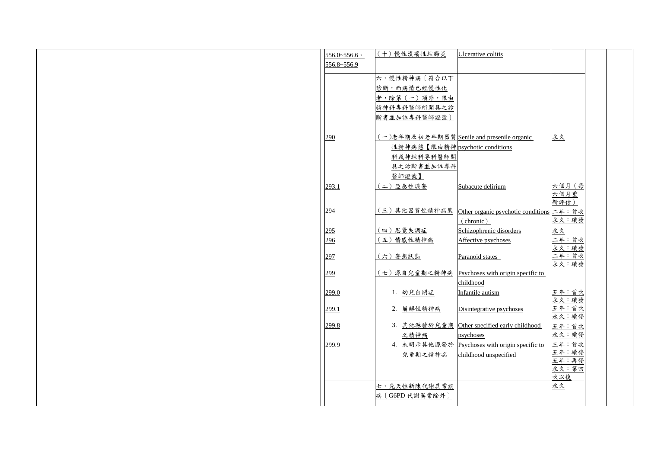| $556.0 - 556.6$ | (十)慢性潰瘍性結腸炎                     | Ulcerative colitis                          |                |
|-----------------|---------------------------------|---------------------------------------------|----------------|
|                 |                                 |                                             |                |
| 556.8~556.9     |                                 |                                             |                |
|                 | 六、慢性精神病〔符合以下                    |                                             |                |
|                 | 診斷,而病情已經慢性化                     |                                             |                |
|                 | 者,除第(一)項外,限由                    |                                             |                |
|                 | 精神科專科醫師所開具之診                    |                                             |                |
|                 |                                 |                                             |                |
|                 | 斷書並加註專科醫師證號〕                    |                                             |                |
|                 |                                 |                                             |                |
| 290             |                                 | (一)老年期及初老年期器質 Senile and presenile organic  | 永久             |
|                 | 性精神病態【限由精神 psychotic conditions |                                             |                |
|                 | 科或神經科專科醫師開                      |                                             |                |
|                 | 具之診斷書並加註專科                      |                                             |                |
|                 | 醫師證號】                           |                                             |                |
| 293.1           | (二)亞急性譫妄                        | Subacute delirium                           | 六個月 (每         |
|                 |                                 |                                             | 六個月重           |
|                 |                                 |                                             | 新評估)           |
| 294             | (三)其他器質性精神病態                    | Other organic psychotic conditions 二年: 首次   |                |
|                 |                                 | (chronic)                                   | 永久:續發          |
| 295             | (四)思覺失調症                        | Schizophrenic disorders                     | 永久             |
| 296             | (五)情感性精神病                       | Affective psychoses                         | 二年:首次          |
|                 |                                 |                                             | 永久:續發          |
| 297             | (六)妄想狀態                         | Paranoid states                             | 二年:首次          |
|                 |                                 |                                             | 永久:續發          |
| 299             | (七)源自兒童期之精神病                    | Psychoses with origin specific to           |                |
|                 |                                 | childhood                                   |                |
| 299.0           | 1. 幼兒自閉症                        | Infantile autism                            | 五年:首次          |
|                 |                                 |                                             | 永久:續發          |
| 299.1           | 2. 崩解性精神病                       | Disintegrative psychoses                    | 五年:首次<br>永久:續發 |
| 299.8           |                                 | 3. 其他源發於兒童期 Other specified early childhood |                |
|                 | 之精神病                            |                                             | 五年:首次<br>永久:續發 |
|                 |                                 | psychoses                                   |                |
| 299.9           | 4. 未明示其他源發於                     | Psychoses with origin specific to           | 三年:首次<br>五年:續發 |
|                 | 兒童期之精神病                         | childhood unspecified                       | 五年:再發          |
|                 |                                 |                                             | 永久:第四          |
|                 |                                 |                                             | 次以後            |
|                 | 七、先天性新陳代謝異常疾                    |                                             | 永久             |
|                 | 病〔G6PD代謝異常除外〕                   |                                             |                |
|                 |                                 |                                             |                |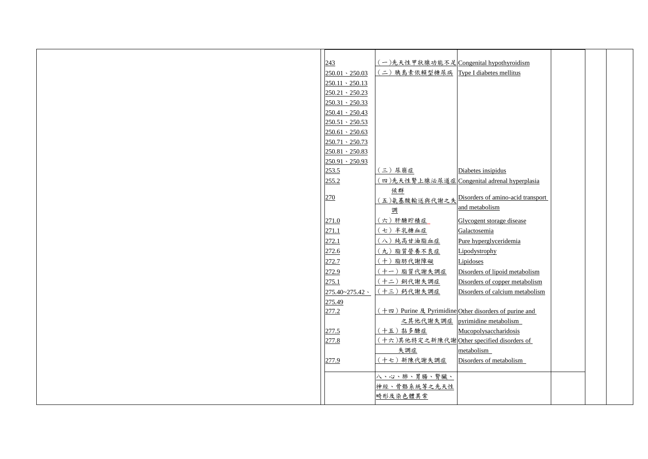| 243                   | (一)先天性甲狀腺功能不足 Congenital hypothyroidism                              |                                                 |  |
|-----------------------|----------------------------------------------------------------------|-------------------------------------------------|--|
| $250.01 \cdot 250.03$ | (二)胰島素依賴型糖尿病 Type I diabetes mellitus                                |                                                 |  |
| $250.11 \cdot 250.13$ |                                                                      |                                                 |  |
| $250.21 \cdot 250.23$ |                                                                      |                                                 |  |
| $250.31 \cdot 250.33$ |                                                                      |                                                 |  |
| $250.41 \cdot 250.43$ |                                                                      |                                                 |  |
| $250.51 \cdot 250.53$ |                                                                      |                                                 |  |
| $250.61 \cdot 250.63$ |                                                                      |                                                 |  |
| $250.71 \cdot 250.73$ |                                                                      |                                                 |  |
| $250.81 \cdot 250.83$ |                                                                      |                                                 |  |
| $250.91 \cdot 250.93$ |                                                                      |                                                 |  |
| 253.5                 | (三)尿崩症                                                               | Diabetes insipidus                              |  |
| 255.2                 |                                                                      | (四)先天性腎上腺泌尿道症 Congenital adrenal hyperplasia    |  |
|                       | 候群                                                                   |                                                 |  |
| 270                   |                                                                      | (五)氨基酸輸送與代謝之失 Disorders of amino-acid transport |  |
|                       | 調                                                                    | and metabolism                                  |  |
| 271.0                 | (六) 肝醣貯積症                                                            | Glycogent storage disease                       |  |
| 271.1                 | (七)半乳糖血症                                                             | Galactosemia                                    |  |
| 272.1                 | (八) 純高甘油脂血症                                                          | Pure hyperglyceridemia                          |  |
| 272.6                 | (九)脂質營養不良症                                                           | Lipodystrophy                                   |  |
| 272.7                 | (十)脂肪代謝障礙                                                            | Lipidoses                                       |  |
| 272.9                 | (十一)脂質代謝失調症                                                          | Disorders of lipoid metabolism                  |  |
| 275.1                 | (十二) 銅代謝失調症                                                          | Disorders of copper metabolism                  |  |
| $275.40 - 275.42$ \   | (十三) 鈣代謝失調症                                                          | Disorders of calcium metabolism                 |  |
| 275.49                |                                                                      |                                                 |  |
| 277.2                 | $($ + $\uppi$ ) Purine $\&$ Pyrimidine Other disorders of purine and |                                                 |  |
|                       | 之其他代謝失調症                                                             | pyrimidine metabolism                           |  |
| 277.5                 | (十五)黏多醣症                                                             | Mucopolysaccharidosis                           |  |
| 277.8                 | (十六)其他特定之新陳代謝Other specified disorders of                            |                                                 |  |
|                       | 失調症                                                                  | metabolism                                      |  |
| 277.9                 | (十七) 新陳代謝失調症                                                         | Disorders of metabolism                         |  |
|                       |                                                                      |                                                 |  |
|                       | 八、心、肺、胃腸、腎臟、                                                         |                                                 |  |
|                       | 神經、骨骼系統等之先天性                                                         |                                                 |  |
|                       | 畸形及染色體異常                                                             |                                                 |  |
|                       |                                                                      |                                                 |  |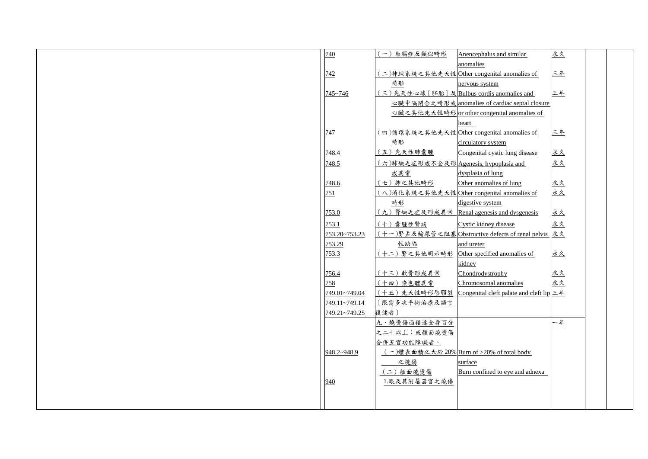| 740                  | 無腦症及類似畸形<br>$\overline{\phantom{m}}$      | Anencephalus and similar                              | 永久 |  |
|----------------------|-------------------------------------------|-------------------------------------------------------|----|--|
|                      |                                           | anomalies                                             |    |  |
| 742                  |                                           | 二)神經系統之其他先天性 Other congenital anomalies of            | 三年 |  |
|                      | <u>畸形</u>                                 | nervous system                                        |    |  |
| $745 - 746$          | (三)先天性心球〔胚胎〕及 Bulbus cordis anomalies and |                                                       | 三年 |  |
|                      |                                           | 心臟中隔閉合之畸形或 anomalies of cardiac septal closure        |    |  |
|                      |                                           | 心臟之其他先天性畸形 or other congenital anomalies of           |    |  |
|                      |                                           | heart                                                 |    |  |
| 747                  |                                           | 四)循環系統之其他先天性 Other congenital anomalies of            | 三年 |  |
|                      | <u>畸形</u>                                 | circulatory system                                    |    |  |
| 748.4                | (五)先天性肺囊腫                                 | Congenital cystic lung disease                        | 永久 |  |
| 748.5                | (六)肺缺乏症形成不全及形 Agenesis, hypoplasia and    |                                                       | 永久 |  |
|                      | 成異常                                       | dysplasia of lung                                     |    |  |
| 748.6                | (七)肺之其他畸形                                 | Other anomalies of lung                               | 永久 |  |
| 751                  |                                           | (八)消化系統之其他先天性 Other congenital anomalies of           | 永久 |  |
|                      | 畸形                                        | digestive system                                      |    |  |
| 753.0                |                                           | (九) 腎缺乏症及形成異常 Renal agenesis and dysgenesis           | 永久 |  |
| 753.1                | (十)囊腫性腎病                                  | Cystic kidney disease                                 | 永久 |  |
| 753.20~753.23        |                                           | (十一)腎盂及輸尿管之阻塞 Obstructive defects of renal pelvis  永久 |    |  |
| 753.29               | 性缺陷                                       | and ureter                                            |    |  |
| 753.3                | (十二) 腎之其他明示畸形                             | Other specified anomalies of                          | 永久 |  |
|                      |                                           | kidney                                                |    |  |
| 756.4                | (十三) 軟骨形成異常                               | Chondrodystrophy                                      | 永久 |  |
| 758                  | (十四)染色體異常                                 | Chromosomal anomalies                                 | 永久 |  |
| <u>749.01~749.04</u> |                                           | (十五)先天性畸形唇顎裂 Congenital cleft palate and cleft lip 三年 |    |  |
| 749.11~749.14        | 〔限需多次手術治療及語言                              |                                                       |    |  |
| 749.21~749.25        | 復健者〕                                      |                                                       |    |  |
|                      | 九、燒燙傷面積達全身百分                              |                                                       | 一年 |  |
|                      | 之二十以上;或顏面燒燙傷                              |                                                       |    |  |
|                      | 合併五官功能障礙者。                                |                                                       |    |  |
| $948.2 - 948.9$      |                                           | (一)體表面積之大於20% Burn of >20% of total body              |    |  |
|                      | 之燒傷                                       | surface                                               |    |  |
|                      | (二)顏面燒燙傷                                  | Burn confined to eye and adnexa                       |    |  |
| 940                  | 1.眼及其附屬器官之燒傷                              |                                                       |    |  |
|                      |                                           |                                                       |    |  |
|                      |                                           |                                                       |    |  |
|                      |                                           |                                                       |    |  |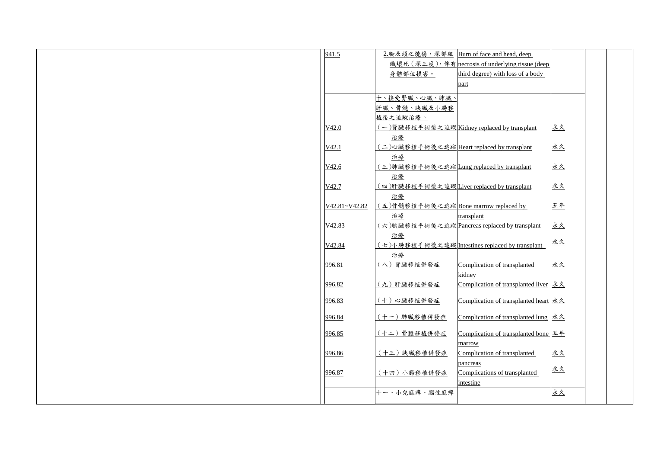| 941.5             | 2.臉及頭之燒傷,深部組                                           | Burn of face and head, deep                                                                        |    |  |
|-------------------|--------------------------------------------------------|----------------------------------------------------------------------------------------------------|----|--|
|                   |                                                        | <u> 織壞死 (深三度), 伴有 necrosis of underlying tissue (deep</u>                                          |    |  |
|                   | 身體部位損害。                                                | third degree) with loss of a body                                                                  |    |  |
|                   |                                                        | part                                                                                               |    |  |
|                   |                                                        |                                                                                                    |    |  |
|                   | 十、接受腎臟、心臟、肺臟、                                          |                                                                                                    |    |  |
|                   | 肝臟、骨髓、胰臟及小腸移                                           |                                                                                                    |    |  |
|                   | 植後之追蹤治療。                                               |                                                                                                    |    |  |
| V42.0             |                                                        | (一)腎臟移植手術後之追蹤 Kidney replaced by transplant                                                        | 永久 |  |
|                   | 治療                                                     |                                                                                                    |    |  |
| V42.1             | (二)心臟移植手術後之追蹤 Heart replaced by transplant             |                                                                                                    | 永久 |  |
|                   | 治療                                                     |                                                                                                    |    |  |
| V42.6             | (三)肺臟移植手術後之追蹤 <mark>Lung replaced by transplant</mark> |                                                                                                    | 永久 |  |
|                   | 治療                                                     |                                                                                                    |    |  |
| V <sub>42.7</sub> | (四)肝臟移植手術後之追蹤 Liver replaced by transplant             |                                                                                                    | 永久 |  |
|                   | <u>治療</u>                                              |                                                                                                    |    |  |
| V42.81~V42.82     | (五)骨髓移植手術後之追蹤Bone marrow replaced by                   |                                                                                                    | 五年 |  |
|                   | 治療                                                     | transplant                                                                                         |    |  |
| V42.83            |                                                        | (六)胰臟移植手術後之追蹤 Pancreas replaced by transplant                                                      | 永久 |  |
|                   | 治療                                                     |                                                                                                    |    |  |
| V42.84            |                                                        | (七)小腸移植手術後之追蹤 Intestines replaced by transplant                                                    | 永久 |  |
|                   | 治療                                                     |                                                                                                    |    |  |
| 996.81            | (八) 腎臟移植併發症                                            | Complication of transplanted                                                                       | 永久 |  |
|                   |                                                        | kidney                                                                                             |    |  |
| 996.82            | (九)肝臟移植併發症                                             | Complication of transplanted liver $\frac{\dot{x} \dot{\lambda}}{}$                                |    |  |
|                   |                                                        |                                                                                                    |    |  |
| 996.83            | (十)心臟移植併發症                                             | Complication of transplanted heart 永久                                                              |    |  |
| 996.84            | (十一)肺臟移植併發症                                            | Complication of transplanted lung  永久                                                              |    |  |
|                   |                                                        |                                                                                                    |    |  |
| 996.85            | (十二) 骨髓移植併發症                                           | <u>Complication of transplanted bone</u> $\boxed{\underline{\mathcal{I}} \underline{\mathcal{F}}}$ |    |  |
|                   |                                                        | marrow                                                                                             |    |  |
| 996.86            | (十三)胰臟移植併發症                                            | Complication of transplanted                                                                       | 永久 |  |
|                   |                                                        | pancreas                                                                                           |    |  |
| 996.87            | (十四)小腸移植併發症                                            | Complications of transplanted                                                                      | 永久 |  |
|                   |                                                        | intestine                                                                                          |    |  |
|                   | 十一、小兒麻痺、腦性麻痺                                           |                                                                                                    | 永久 |  |
|                   |                                                        |                                                                                                    |    |  |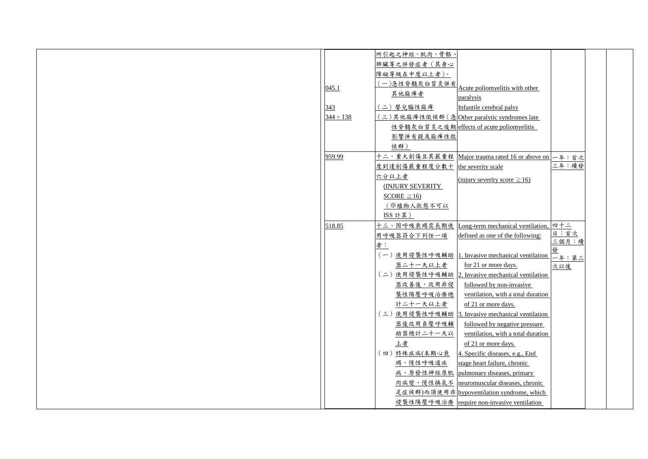|             | 所引起之神經、肌肉、骨骼、     |                                                                     |              |  |
|-------------|-------------------|---------------------------------------------------------------------|--------------|--|
|             | 肺臟等之併發症者(其身心      |                                                                     |              |  |
|             | 障礙等級在中度以上者)。      |                                                                     |              |  |
|             | 一)急性脊髓灰白質炎併有      |                                                                     |              |  |
| 045.1       | 其他麻痺者             | Acute poliomyelitis with other                                      |              |  |
|             |                   | paralysis                                                           |              |  |
| 343         | 二) 嬰兒腦性麻痺         | Infantile cerebral palsy                                            |              |  |
| $344 + 138$ |                   | (三)其他麻痺性徵候群(急Other paralytic syndromes late                         |              |  |
|             |                   | 性脊髓灰白質炎之後期 effects of acute poliomyelitis                           |              |  |
|             | 影響併有提及麻痺性徵        |                                                                     |              |  |
|             | 候群)               |                                                                     |              |  |
| 959.99      | 十二、重大創傷且其嚴重程      | Major trauma rated 16 or above on $-4$ : 首次                         |              |  |
|             | 度到達創傷嚴重程度分數十      | the severity scale                                                  | 三年:續發        |  |
|             | 六分以上者             | (injury severity score $\geq 16$ )                                  |              |  |
|             | (INJURY SEVERITY) |                                                                     |              |  |
|             | $SCORE \ge 16$    |                                                                     |              |  |
|             | (※植物人狀態不可以        |                                                                     |              |  |
|             | ISS 計算)           |                                                                     |              |  |
| 518.85      | 十三、因呼吸衰竭需長期使      | <u>Long-term mechanical ventilation, <math>\boxed{m + 1}</math></u> |              |  |
|             | 用呼吸器符合下列任一項       | defined as one of the following:                                    | 日:首次         |  |
|             | 者:                |                                                                     | 三個月:續        |  |
|             | (一)使用侵襲性呼吸輔助      | 1. Invasive mechanical ventilation                                  |              |  |
|             | 器二十一天以上者          | for 21 or more days.                                                | 一年:第三<br>次以後 |  |
|             | (二)使用侵襲性呼吸輔助      | 2. Invasive mechanical ventilation                                  |              |  |
|             | 器改善後,改用非侵         | followed by non-invasive                                            |              |  |
|             | 襲性陽壓呼吸治療總         | ventilation, with a total duration                                  |              |  |
|             | 計二十一天以上者          | of 21 or more days.                                                 |              |  |
|             | (三)使用侵襲性呼吸輔助      | Invasive mechanical ventilation<br>$\overline{3}$ .                 |              |  |
|             |                   |                                                                     |              |  |
|             | 器後改用負壓呼吸輔         | followed by negative pressure                                       |              |  |
|             | 助器總計二十一天以         | ventilation, with a total duration                                  |              |  |
|             | <u>上者</u>         | of 21 or more days.                                                 |              |  |
|             | (四)特殊疾病(末期心衰      | 4. Specific diseases, e.g., End                                     |              |  |
|             | 竭、慢性呼吸道疾          | stage heart failure, chronic                                        |              |  |
|             |                   | 病、原發性神經原肌 pulmonary diseases, primary                               |              |  |
|             |                   | 肉病變、慢性換氣不 neuromuscular diseases, chronic                           |              |  |
|             |                   | 足症候群)而須使用非 hypoventilation syndrome, which                          |              |  |
|             |                   | 侵襲性陽壓呼吸治療 require non-invasive ventilation                          |              |  |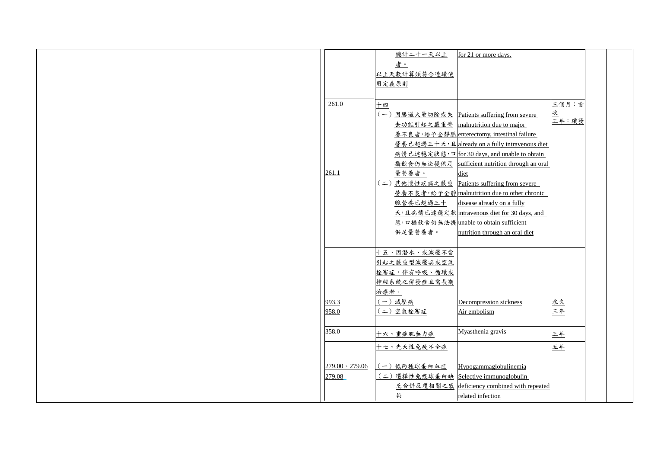|                       | 總計二十一天以上                               | for 21 or more days.                                |                   |  |
|-----------------------|----------------------------------------|-----------------------------------------------------|-------------------|--|
|                       | 者。                                     |                                                     |                   |  |
|                       | 以上天數計算須符合連續使                           |                                                     |                   |  |
|                       | 用定義原則                                  |                                                     |                   |  |
|                       |                                        |                                                     |                   |  |
| 261.0                 | 十四                                     |                                                     | 三個月:首             |  |
|                       |                                        | 〔一〕 <u>因腸道大量切除或失</u> Patients suffering from severe | <u>次</u><br>三年:續發 |  |
|                       |                                        | 去功能引起之嚴重營 malnutrition due to major                 |                   |  |
|                       |                                        | 養不良者,給予全靜脈 enterectomy, intestinal failure          |                   |  |
|                       |                                        | 營養已超過三十天,且already on a fully intravenous diet       |                   |  |
|                       |                                        | 病情已達穩定狀態, 口 for 30 days, and unable to obtain       |                   |  |
|                       |                                        | 攝飲食仍無法提供足 sufficient nutrition through an oral      |                   |  |
| 261.1                 | 量營養者。                                  | diet                                                |                   |  |
|                       | (二)其他慢性疾病之嚴重                           | Patients suffering from severe                      |                   |  |
|                       |                                        | 營養不良者,給予全靜 malnutrition due to other chronic        |                   |  |
|                       | 脈營養已超過三十                               | disease already on a fully                          |                   |  |
|                       |                                        | 天,且病情已達穩定狀 intravenous diet for 30 days, and        |                   |  |
|                       |                                        | <u>態,口攝飲食仍無法提 unable to obtain sufficient</u>       |                   |  |
|                       | 供足量營養者。                                | nutrition through an oral diet                      |                   |  |
|                       |                                        |                                                     |                   |  |
|                       | 十五、因潛水、或減壓不當                           |                                                     |                   |  |
|                       | 引起之嚴重型減壓病或空氣                           |                                                     |                   |  |
|                       | 栓塞症,伴有呼吸、循環或                           |                                                     |                   |  |
|                       | 神經系統之併發症且需長期                           |                                                     |                   |  |
|                       | 治療者。                                   |                                                     |                   |  |
| 993.3                 | 一) 減壓病                                 | Decompression sickness                              | 立久                |  |
| 958.0                 | (二)空氣栓塞症                               | Air embolism                                        | 三年                |  |
|                       |                                        |                                                     |                   |  |
| 358.0                 |                                        | Myasthenia gravis                                   |                   |  |
|                       | 十六、重症肌無力症                              |                                                     | 三年                |  |
|                       | 十七、先天性免疫不全症                            |                                                     | 五年                |  |
|                       |                                        |                                                     |                   |  |
| $279.00 \cdot 279.06$ | 一)低丙種球蛋白血症                             | Hypogammaglobulinemia                               |                   |  |
| 279.08                | (二) 選擇性免疫球蛋白缺 Selective immunoglobulin |                                                     |                   |  |
|                       | 乏合併反覆相關之感                              | deficiency combined with repeated                   |                   |  |
|                       | 染                                      | related infection                                   |                   |  |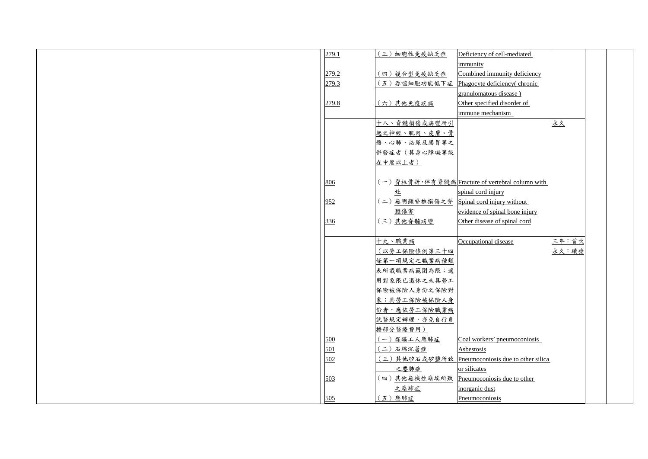| 279.1 | 細胞性免疫缺乏症<br>$(\underline{\underline{z}})$ | Deficiency of cell-mediated                      |       |
|-------|-------------------------------------------|--------------------------------------------------|-------|
|       |                                           | immunity                                         |       |
| 279.2 | 四)複合型免疫缺乏症                                | Combined immunity deficiency                     |       |
| 279.3 | (五)吞噬細胞功能低下症                              | Phagocyte deficiency (chronic                    |       |
|       |                                           | granulomatous disease)                           |       |
| 279.8 | (六)其他免疫疾病                                 | Other specified disorder of                      |       |
|       |                                           | immune mechanism                                 |       |
|       | 十八、脊髓損傷或病變所引                              |                                                  | 永久    |
|       | 起之神經、肌肉、皮膚、骨                              |                                                  |       |
|       | 骼、心肺、泌尿及腸胃等之                              |                                                  |       |
|       | 併發症者(其身心障礙等級                              |                                                  |       |
|       | 在中度以上者)                                   |                                                  |       |
| 806   |                                           | (一) 脊柱骨折,伴有脊髓病 Fracture of vertebral column with |       |
|       | 灶                                         | spinal cord injury                               |       |
|       |                                           |                                                  |       |
| 952   | (二)無明顯脊椎損傷之脊                              | Spinal cord injury without                       |       |
|       | 髓傷害                                       | evidence of spinal bone injury                   |       |
| 336   | (三)其他脊髓病變                                 | Other disease of spinal cord                     |       |
|       |                                           |                                                  |       |
|       | 十九、職業病                                    | Occupational disease                             | 三年:首次 |
|       | (以勞工保險條例第三十四                              |                                                  | 永久:續發 |
|       | 條第一項規定之職業病種類                              |                                                  |       |
|       | 表所載職業病範圍為限;適                              |                                                  |       |
|       | 用對象限已退休之未具勞工                              |                                                  |       |
|       | 保險被保險人身份之保險對<br>象;具勞工保險被保險人身              |                                                  |       |
|       | 份者,應依勞工保險職業病                              |                                                  |       |
|       | 就醫規定辦理,亦免自行負                              |                                                  |       |
|       | 擔部分醫療費用)                                  |                                                  |       |
| 500   | 一)煤礦工人塵肺症                                 | Coal workers' pneumoconiosis                     |       |
| 501   | (二)石綿沉著症                                  | Asbestosis                                       |       |
| 502   |                                           | (三)其他矽石或矽鹽所致 Pneumoconiosis due to other silica  |       |
|       | 之塵肺症                                      | or silicates                                     |       |
| 503   | (四)其他無機性塵埃所致                              | Pneumoconiosis due to other                      |       |
|       | 之塵肺症                                      | inorganic dust                                   |       |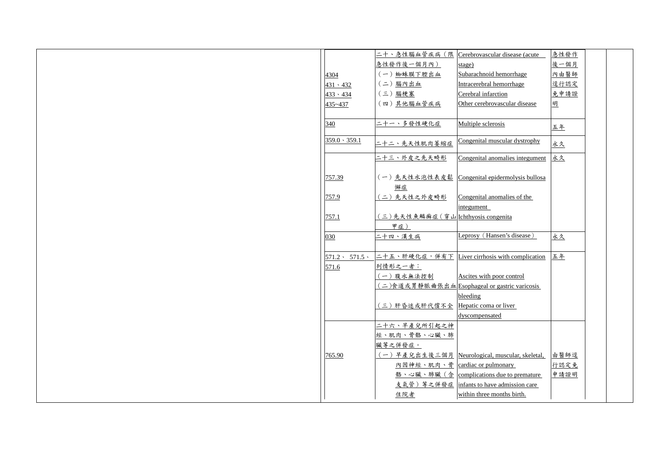|                           |                                    | 二十、急性腦血管疾病 (限  Cerebrovascular disease (acute  | 急性發作         |  |
|---------------------------|------------------------------------|------------------------------------------------|--------------|--|
|                           | 急性發作後一個月內)                         | stage)                                         | 後一個月         |  |
| 4304                      | (一) 蜘蛛膜下腔出血                        | Subarachnoid hemorrhage                        | 內由醫師         |  |
| $431 \cdot 432$           | (二)腦內出血                            | Intracerebral hemorrhage                       | <u> 逕行認定</u> |  |
| $433 \cdot 434$           | (三)腦梗塞                             | Cerebral infarction                            | 免申請證         |  |
| 435~437                   | (四)其他腦血管疾病                         | Other cerebrovascular disease                  | 明            |  |
|                           |                                    |                                                |              |  |
| 340                       | 二十一丶多發性硬化症                         | Multiple sclerosis                             | <u>五年</u>    |  |
|                           |                                    |                                                |              |  |
| $359.0 \cdot 359.1$       | 二十二、先天性肌肉萎缩症                       | Congenital muscular dystrophy                  | <u>永久</u>    |  |
|                           | <u>二十三、外皮之先天畸形</u>                 | Congenital anomalies integument                | 永久           |  |
|                           |                                    |                                                |              |  |
| 757.39                    | (一)先天性水泡性表皮鬆                       | Congenital epidermolysis bullosa               |              |  |
|                           | 懈症                                 |                                                |              |  |
| 757.9                     | (二)先天性之外皮畸形                        | Congenital anomalies of the                    |              |  |
|                           |                                    | integument                                     |              |  |
| 757.1                     | (三)先天性魚鱗癬症(穿山 Ichthyosis congenita |                                                |              |  |
|                           | 甲症)                                |                                                |              |  |
| 030                       | 二十四、漢生病                            | Leprosy (Hansen's disease)                     | <u>永久</u>    |  |
|                           |                                    |                                                |              |  |
| $571.2 \cdot 571.5 \cdot$ |                                    | 二十五、肝硬化症,併有下 Liver cirrhosis with complication | 五年           |  |
| 571.6                     | 列情形之一者:                            |                                                |              |  |
|                           | (一) 腹水無法控制                         | Ascites with poor control                      |              |  |
|                           |                                    | (二)食道或胃静脈曲張出血Esophageal or gastric varicosis   |              |  |
|                           |                                    | bleeding                                       |              |  |
|                           | (三)肝昏迷或肝代償不全                       | Hepatic coma or liver                          |              |  |
|                           |                                    | dyscompensated                                 |              |  |
|                           | 二十六、早產兒所引起之神                       |                                                |              |  |
|                           | 經、肌肉、骨骼、心臟、肺                       |                                                |              |  |
|                           | 臟等之併發症。                            |                                                |              |  |
| 765.90                    |                                    | 一)早產兒出生後三個月 Neurological, muscular, skeletal,  | 由醫師逕         |  |
|                           | 內因神經、肌肉、骨                          | cardiac or pulmonary                           | 行認定免         |  |
|                           |                                    | 骼、心臟、肺臟(含 complications due to premature       | 申請證明         |  |
|                           | 支氣管)等之併發症                          | infants to have admission care                 |              |  |
|                           | 住院者                                | within three months birth.                     |              |  |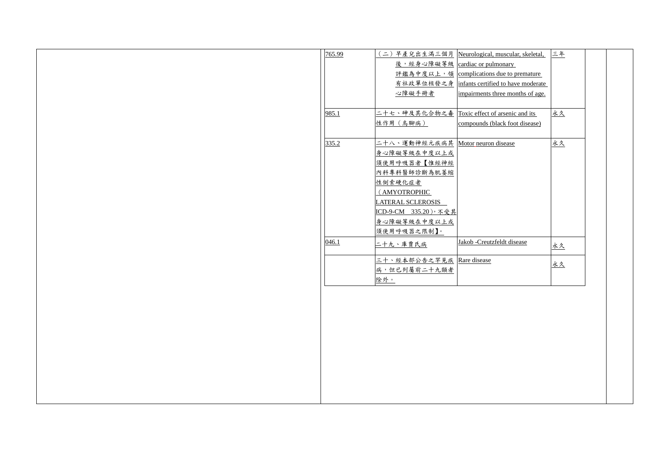|                    | 生滿三個月 Neurological, muscular, skeletal,  | 三年        |  |
|--------------------|------------------------------------------|-----------|--|
|                    | 心障礙等級 cardiac or pulmonary               |           |  |
|                    | 度以上, 領 complications due to premature    |           |  |
|                    | 位核發之身 infants certified to have moderate |           |  |
| 冊者                 | impairments three months of age.         |           |  |
|                    |                                          |           |  |
|                    | 化合物之毒 Toxic effect of arsenic and its    | <u>永久</u> |  |
|                    | compounds (black foot disease)           |           |  |
|                    |                                          |           |  |
| 經元疾病其              | Motor neuron disease                     | <u>永久</u> |  |
| <u>中度以上或</u>       |                                          |           |  |
| 【惟經神經              |                                          |           |  |
| 斷為肌萎縮              |                                          |           |  |
|                    |                                          |           |  |
| HC                 |                                          |           |  |
| <b>EROSIS</b>      |                                          |           |  |
| .20),不受其           |                                          |           |  |
| <u>中度以上或</u>       |                                          |           |  |
| 限制】。               |                                          |           |  |
| 病                  | Jakob -Creutzfeldt disease               | <u>永久</u> |  |
|                    |                                          |           |  |
| 告之罕見疾 Rare disease |                                          | <u>永久</u> |  |
| 二十九類者              |                                          |           |  |
|                    |                                          |           |  |
|                    |                                          |           |  |
|                    |                                          |           |  |
|                    |                                          |           |  |
|                    |                                          |           |  |
|                    |                                          |           |  |
|                    |                                          |           |  |
|                    |                                          |           |  |
|                    |                                          |           |  |
|                    |                                          |           |  |
|                    |                                          |           |  |
|                    |                                          |           |  |
|                    |                                          |           |  |

| 765.99 | (二) 早產兒出生滿三個月 Neurological, muscula       |                        |
|--------|-------------------------------------------|------------------------|
|        | 後,經身心障礙等級 cardiac or pulmonary            |                        |
|        | 評鑑為中度以上,領 complications due to            |                        |
|        | 有社政單位核發之身 infants certified to hav        |                        |
|        | 心障礙手冊者                                    | impairments three mo   |
|        |                                           |                        |
| 985.1  | 二十七、砷及其化合物之毒 Toxic effect of arsenic      |                        |
|        | 性作用 (烏腳病)                                 | compounds (black for   |
|        |                                           |                        |
| 335.2  | <u> 二十八、運動神經元疾病其</u> Motor neuron disease |                        |
|        | 身心障礙等級在中度以上或                              |                        |
|        | 須使用呼吸器者【惟經神經                              |                        |
|        | 內科專科醫師診斷為肌萎縮                              |                        |
|        | 性侧索硬化症者                                   |                        |
|        | (AMYOTROPHIC                              |                        |
|        | LATERAL SCLEROSIS                         |                        |
|        | ICD-9-CM 335.20),不受其                      |                        |
|        | 身心障礙等級在中度以上或                              |                        |
|        | 須使用呼吸器之限制】。                               |                        |
| 046.1  | 二十九、庫賈氏病                                  | Jakob -Creutzfeldt dis |
|        |                                           |                        |
|        | 三十、經本部公告之罕見疾 Rare disease                 |                        |
|        | 病,但已列屬前二十九類者                              |                        |
|        | 除外。                                       |                        |
|        |                                           |                        |
|        |                                           |                        |
|        |                                           |                        |
|        |                                           |                        |
|        |                                           |                        |
|        |                                           |                        |
|        |                                           |                        |
|        |                                           |                        |
|        |                                           |                        |
|        |                                           |                        |
|        |                                           |                        |
|        |                                           |                        |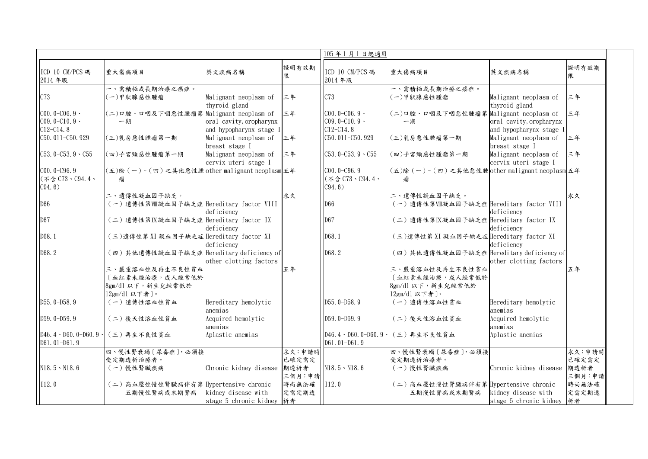|                                               |                                                     |                                                    | 105年1月1日起適用    |                                                   |                                                |                                                    |                |
|-----------------------------------------------|-----------------------------------------------------|----------------------------------------------------|----------------|---------------------------------------------------|------------------------------------------------|----------------------------------------------------|----------------|
| ICD-10-CM/PCS 碼<br>2014年版                     | 重大傷病項目                                              | 英文疾病名稱                                             | 證明有效期          | ICD-10-CM/PCS 碼<br>2014年版                         | 重大傷病項目                                         | 英文疾病名稱                                             | 證明有效期<br>限     |
| C73                                           | 一、需積極或長期治療之癌症。<br>(一)甲狀腺惡性腫瘤                        | Malignant neoplasm of                              | 三年             | C73                                               | 一、需積極或長期治療之癌症。<br>(一)甲狀腺惡性腫瘤                   | Malignant neoplasm of                              | 三年             |
|                                               |                                                     | thyroid gland                                      |                |                                                   |                                                | thyroid gland                                      |                |
| $C00.0-C06.9$                                 | (二)口腔、口咽及下咽惡性腫瘤第 Malignant neoplasm of              |                                                    | 三年             | $CO0.0 - CO6.9$                                   | (二)口腔、口咽及下咽惡性腫瘤第 Malignant neoplasm of         |                                                    | 三年             |
| $C09.0 - C10.9$<br>$C12 - C14.8$              | 一期                                                  | oral cavity, oropharynx<br>and hypopharynx stage I |                | $C09.0 - C10.9 -$<br>$C12 - C14.8$                | 一期                                             | oral cavity, oropharynx<br>and hypopharynx stage I |                |
| C50.011-C50.929                               | (三)乳房惡性腫瘤第一期                                        | Malignant neoplasm of<br>breast stage I            | 三年             | $C50.011 - C50.929$                               | (三)乳房惡性腫瘤第一期                                   | Malignant neoplasm of<br>breast stage I            | 三年             |
| $C53.0 - C53.9 \cdot C55$                     | (四)子宮頸惡性腫瘤第一期                                       | Malignant neoplasm of<br>cervix uteri stage I      | 三年             | $C53.0 - C53.9 \cdot C55$                         | (四)子宮頸惡性腫瘤第一期                                  | Malignant neoplasm of<br>cervix uteri stage I      | 三年             |
| $CO0.0 - C96.9$<br>(不含 C73、C94.4、             | (五)除 (一)~(四)之其他惡性腫 other malignant neoplasm 五年<br>瘤 |                                                    |                | $CO0.0 - C96.9$<br>$($ 不含 $C73 \cdot C94.4 \cdot$ | (五)除 (一)~(四)之其他惡性腫 other malignant neoplasm 五年 |                                                    |                |
| C94.6)                                        |                                                     |                                                    |                | C94.6)                                            |                                                |                                                    |                |
|                                               | 二、遺傳性凝血因子缺乏。                                        |                                                    | 永久             |                                                   | 二、遺傳性凝血因子缺乏。                                   |                                                    | 永久             |
| D66                                           | (一)遺傳性第Ⅷ凝血因子缺乏症  Hereditary factor VIII             | deficiency                                         |                | D66                                               | (一)遺傳性第Ⅷ凝血因子缺乏症 Hereditary factor VIII         | deficiency                                         |                |
| D67                                           | (二)遺傳性第以凝血因子缺乏症 Hereditary factor IX                | deficiency                                         |                | D67                                               | (二)遺傳性第IX凝血因子缺乏症  Hereditary factor IX         | deficiency                                         |                |
| D68.1                                         | (三)遺傳性第 XI 凝血因子缺乏症 Hereditary factor XI             | deficiency                                         |                | D68.1                                             | (三)遺傳性第 XI 凝血因子缺乏症 Hereditary factor XI        | deficiency                                         |                |
| D68.2                                         | (四)其他遺傳性凝血因子缺乏症  Hereditary deficiency of           | other clotting factors                             |                | D68.2                                             | (四)其他遺傳性凝血因子缺乏症 Hereditary deficiency of       | other clotting factors                             |                |
|                                               | 三、嚴重溶血性及再生不良性貧血                                     |                                                    | 五年             |                                                   | 三、嚴重溶血性及再生不良性貧血                                |                                                    | 五年             |
|                                               | 血紅素未經治療, 成人經常低於                                     |                                                    |                |                                                   | [血紅素未經治療, 成人經常低於                               |                                                    |                |
|                                               | 8gm/dl 以下, 新生兒經常低於<br>12gm/d1 以下者〕。                 |                                                    |                |                                                   | 8gm/dl 以下, 新生兒經常低於<br>12gm/d1 以下者〕。            |                                                    |                |
| $D55.0-D58.9$                                 | 〔一〕遺傳性溶血性貧血                                         | Hereditary hemolytic<br>anemias                    |                | $D55.0-D58.9$                                     | (一) 遺傳性溶血性貧血                                   | Hereditary hemolytic<br>anemias                    |                |
| $D59.0-D59.9$                                 | (二)後天性溶血性貧血                                         | Acquired hemolytic<br>anemias                      |                | $D59.0-D59.9$                                     | (二)後天性溶血性貧血                                    | Acquired hemolytic<br>anemias                      |                |
| $D46.4 \cdot D60.0 - D60.9$<br>$D61.01-D61.9$ | (三)再生不良性貧血                                          | Aplastic anemias                                   |                | $D46.4 \cdot D60.0 - D60.9$<br>$D61.01-D61.9$     | (三)再生不良性貧血                                     | Aplastic anemias                                   |                |
|                                               | 四、慢性腎衰竭〔尿毒症〕,必須接                                    |                                                    | 永久:申請時         |                                                   | 四、慢性腎衰竭〔尿毒症〕,必須接                               |                                                    | 永久:申請時         |
|                                               | 受定期透析治療者。                                           |                                                    | 已確定需定          |                                                   | 受定期透析治療者。                                      |                                                    | 已確定需定          |
| $N18.5 \cdot N18.6$                           | (一)慢性腎臟疾病                                           | Chronic kidney disease                             | 期透析者<br>三個月:申請 | $N18.5 \cdot N18.6$                               | (一)慢性腎臟疾病                                      | Chronic kidney disease                             | 期透析者<br>三個月:申請 |
| I12.0                                         | (二)高血壓性慢性腎臟病伴有第 Hypertensive chronic                |                                                    | 時尚無法確          | [112.0]                                           | (二)高血壓性慢性腎臟病伴有第 Hypertensive chronic           |                                                    | 時尚無法確          |
|                                               | 五期慢性腎病或末期腎病                                         | kidney disease with<br>stage 5 chronic kidney      | 定需定期透<br>析者    |                                                   | 五期慢性腎病或末期腎病                                    | kidney disease with<br>stage 5 chronic kidney  析者  | 定需定期透          |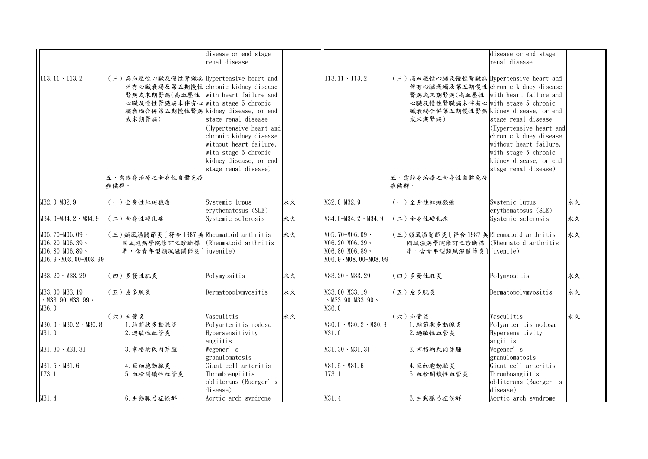|                                                                                          |                                                                                                                                                                                                            | disease or end stage<br>renal disease                                                                                                                                        |    |                                                                                            |                                                                                                                                                                                                            | disease or end stage<br>renal disease                                                                                                                                        |    |  |
|------------------------------------------------------------------------------------------|------------------------------------------------------------------------------------------------------------------------------------------------------------------------------------------------------------|------------------------------------------------------------------------------------------------------------------------------------------------------------------------------|----|--------------------------------------------------------------------------------------------|------------------------------------------------------------------------------------------------------------------------------------------------------------------------------------------------------------|------------------------------------------------------------------------------------------------------------------------------------------------------------------------------|----|--|
| $113.11 \cdot 113.2$                                                                     | (三)高血壓性心臟及慢性腎臟病 Hypertensive heart and<br>伴有心臟衰竭及第五期慢性 chronic kidney disease<br>腎病或末期腎病(高血壓性 with heart failure and<br>心臟及慢性腎臟病未伴有心 with stage 5 chronic<br>臟衰竭合併第五期慢性腎病 kidney disease, or end<br>或末期腎病) | stage renal disease<br>(Hypertensive heart and<br>chronic kidney disease<br>without heart failure,<br>with stage 5 chronic<br>kidney disease, or end<br>stage renal disease) |    | $[113, 11 \cdot 113, 2]$                                                                   | (三)高血壓性心臟及慢性腎臟病 Hypertensive heart and<br>伴有心臟衰竭及第五期慢性 chronic kidney disease<br>腎病或末期腎病(高血壓性 with heart failure and<br>心臟及慢性腎臟病未伴有心 with stage 5 chronic<br>臟衰竭合併第五期慢性腎病 kidney disease, or end<br>或末期腎病) | stage renal disease<br>(Hypertensive heart and<br>chronic kidney disease<br>without heart failure,<br>with stage 5 chronic<br>kidney disease, or end<br>stage renal disease) |    |  |
|                                                                                          | 五、需終身治療之全身性自體免疫<br>症候群。                                                                                                                                                                                    |                                                                                                                                                                              |    |                                                                                            | 五、需終身治療之全身性自體免疫<br>症候群。                                                                                                                                                                                    |                                                                                                                                                                              |    |  |
| $M32.0-M32.9$                                                                            | (一)全身性紅斑狼瘡                                                                                                                                                                                                 | Systemic lupus<br>erythematosus (SLE)                                                                                                                                        | 永久 | M32.0-M32.9                                                                                | (一)全身性紅斑狼瘡                                                                                                                                                                                                 | Systemic lupus<br>erythematosus (SLE)                                                                                                                                        | 永久 |  |
| $M34.0-M34.2 \cdot M34.9$                                                                | (二)全身性硬化症                                                                                                                                                                                                  | Systemic sclerosis                                                                                                                                                           | 永久 | $M34.0-M34.2 \cdot M34.9$                                                                  | (二)全身性硬化症                                                                                                                                                                                                  | Systemic sclerosis                                                                                                                                                           | 永久 |  |
| $M05.70-M06.09$<br>$M06.20 - M06.39$<br>$M06.80 - M06.89$<br>$MO6.9 \cdot MO8.00-M08.99$ | (三)類風濕關節炎〔符合1987 美Rheumatoid arthritis<br>國風濕病學院修訂之診斷標   (Rheumatoid arthritis<br>準,含青年型類風濕關節炎]juvenile)                                                                                                   |                                                                                                                                                                              | 永久 | $M05, 70-M06, 09$<br>$M06.20 - M06.39$<br>$M06.80 - M06.89$<br>$MO6.9 \cdot MO8.00-M08.99$ | (三)類風濕關節炎〔符合1987 美Rheumatoid arthritis<br>國風濕病學院修訂之診斷標 (Rheumatoid arthritis<br>準,含青年型類風濕關節炎]juvenile)                                                                                                     |                                                                                                                                                                              | 永久 |  |
| $M33.20 \cdot M33.29$                                                                    | (四)多發性肌炎                                                                                                                                                                                                   | Polymyositis                                                                                                                                                                 | 永久 | $M33.20 \cdot M33.29$                                                                      | (四)多發性肌炎                                                                                                                                                                                                   | Polymyositis                                                                                                                                                                 | 永久 |  |
| M33.00-M33.19<br>$\cdot$ M33.90-M33.99 $\cdot$<br>M36.0                                  | (五)皮多肌炎                                                                                                                                                                                                    | Dermatopolymyositis                                                                                                                                                          | 永久 | M33.00-M33.19<br>$\cdot$ M33.90-M33.99 $\cdot$<br>M36.0                                    | (五)皮多肌炎                                                                                                                                                                                                    | Dermatopolymyositis                                                                                                                                                          | 永久 |  |
| $MS0.0 \cdot MS0.2 \cdot MS0.8$<br>M31.0                                                 | (六)血管炎<br>1. 結節狀多動脈炎<br>2. 過敏性血管炎                                                                                                                                                                          | Vasculitis<br>Polyarteritis nodosa<br>Hypersensitivity<br>angiitis                                                                                                           | 永久 | $M30.0 \cdot M30.2 \cdot M30.8$<br>M31.0                                                   | (六)血管炎<br>1. 結節狀多動脈炎<br>2. 過敏性血管炎                                                                                                                                                                          | Vasculitis<br>Polyarteritis nodosa<br>Hypersensitivity<br>angiitis                                                                                                           | 永久 |  |
| $M31.30 \cdot M31.31$                                                                    | 3. 韋格納氏肉芽腫                                                                                                                                                                                                 | Wegener's                                                                                                                                                                    |    | $M31.30 \cdot M31.31$                                                                      | 3. 韋格納氏肉芽腫                                                                                                                                                                                                 | Wegener's                                                                                                                                                                    |    |  |
| $M31.5 \cdot M31.6$<br>173.1                                                             | 4. 巨細胞動脈炎<br>5. 血栓閉鎖性血管炎                                                                                                                                                                                   | granulomatosis<br>Giant cell arteritis<br>Thromboangiitis<br>obliterans (Buerger's<br>disease)                                                                               |    | $M31.5 \cdot M31.6$<br>I73.1                                                               | 4. 巨細胞動脈炎<br>5. 血栓閉鎖性血管炎                                                                                                                                                                                   | granulomatosis<br>Giant cell arteritis<br>Thromboangiitis<br>obliterans (Buerger's<br>disease)                                                                               |    |  |
| M31.4                                                                                    | 6. 主動脈弓症候群                                                                                                                                                                                                 | Aortic arch syndrome                                                                                                                                                         |    | M31.4                                                                                      | 6. 主動脈弓症候群                                                                                                                                                                                                 | Aortic arch syndrome                                                                                                                                                         |    |  |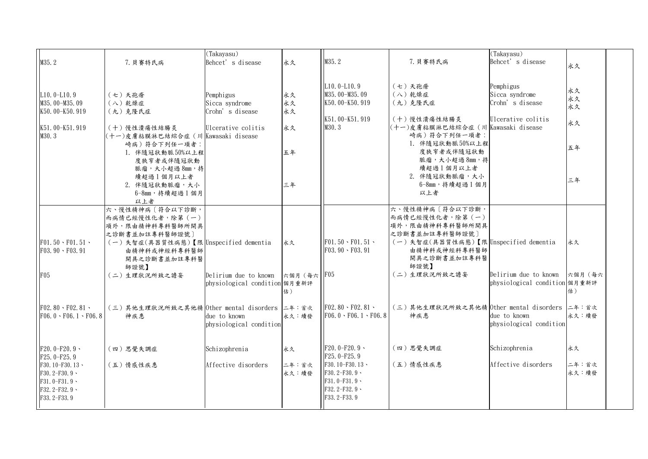| M35.2                                                                                   | 7. 貝賽特氏病                                                                                                                                                 | (Takayasu)<br>Behcet's disease                                       | 永久             | M35.2                                                                                     | 7. 貝賽特氏病                                                                                                                                                 | (Takayasu)<br>Behcet's disease                                       | 永久                   |
|-----------------------------------------------------------------------------------------|----------------------------------------------------------------------------------------------------------------------------------------------------------|----------------------------------------------------------------------|----------------|-------------------------------------------------------------------------------------------|----------------------------------------------------------------------------------------------------------------------------------------------------------|----------------------------------------------------------------------|----------------------|
| $L10.0 - L10.9$<br>M35.00-M35.09<br>K50.00-K50.919                                      | (七)天孢瘡<br>(八) 乾燥症<br>(九)克隆氏症                                                                                                                             | Pemphigus<br>Sicca syndrome<br>Crohn's disease                       | 永久<br>永久<br>永久 | $L10.0 - L10.9$<br>M35.00-M35.09<br>K50.00-K50.919<br>K51.00-K51.919                      | (七)天孢瘡<br>(八) 乾燥症<br>(九)克隆氏症<br>(十)慢性潰瘍性結腸炎                                                                                                              | Pemphigus<br>Sicca syndrome<br>Crohn's disease<br>Ulcerative colitis | 永久<br>永久<br>永久<br>永久 |
| K51.00-K51.919<br>M30.3                                                                 | (十)慢性潰瘍性結腸炎<br>(十一)皮膚粘膜淋巴結綜合症(川  Kawasaki disease<br>崎病)符合下列任一項者:<br>1. 伴隨冠狀動脈50%以上程<br>度狹窄者或伴隨冠狀動                                                       | Ulcerative colitis                                                   | 永久<br>五年       | M30.3                                                                                     | (十一)皮膚粘膜淋巴結綜合症 (川 Kawasaki disease<br>崎病)符合下列任一項者:<br>1. 伴隨冠狀動脈50%以上程<br>度狹窄者或伴隨冠狀動<br>脈瘤,大小超過8mm,持                                                      |                                                                      | 五年                   |
|                                                                                         | 脈瘤,大小超過8mm,持<br>續超過1個月以上者<br>2. 伴隨冠狀動脈瘤,大小<br>6-8mm, 持續超過1個月<br>以上者                                                                                      |                                                                      | 三年             |                                                                                           | 續超過1個月以上者<br>2. 伴隨冠狀動脈瘤,大小<br>6-8mm, 持續超過1個月<br>以上者                                                                                                      |                                                                      | 三年                   |
| $F01.50 \cdot F01.51 \cdot$<br>$F03.90 \cdot F03.91$                                    | 六、慢性精神病〔符合以下診斷,<br>而病情已經慢性化者,除第(一)<br>項外,限由精神科專科醫師所開具<br>之診斷書並加註專科醫師證號〕<br>(一)失智症(具器質性病態)【限 Unspecified dementia<br>由精神科或神經科專科醫師<br>開具之診斷書並加註專科醫<br>師證號】 |                                                                      | 永久             | $F01.50 \cdot F01.51 \cdot$<br>$F03.90 \cdot F03.91$                                      | 六、慢性精神病〔符合以下診斷,<br>而病情已經慢性化者,除第(一)<br>項外,限由精神科專科醫師所開具<br>之診斷書並加註專科醫師證號〕<br>(一)失智症(具器質性病態)【限 Unspecified dementia<br>由精神科或神經科專科醫師<br>開具之診斷書並加註專科醫<br>師證號】 |                                                                      | 永久                   |
| F05                                                                                     | (二)生理狀況所致之譫妄                                                                                                                                             | Delirium due to known  六個月 (每六  F05<br>physiological condition 個月重新評 | 估)             |                                                                                           | (二)生理狀況所致之譫妄                                                                                                                                             | Delirium due to known 六個月 (每六<br>physiological condition 個月重新評       | 估)                   |
| $F02.80 \cdot F02.81 \cdot$<br>$F06.0 \cdot F06.1 \cdot F06.8$                          | (三)其他生理狀況所致之其他精 0ther mental disorders 二年:首次<br>神疾患                                                                                                      | due to known<br>physiological condition                              | 永久:續發          | $F02.80 \cdot F02.81 \cdot$<br>$F06.0 \cdot F06.1 \cdot F06.8$                            | (三)其他生理狀況所致之其他精 Other mental disorders 二年:首次<br>神疾患                                                                                                      | due to known<br>physiological condition                              | 永久:續發                |
| $F20.0-F20.9$<br>$F25.0-F25.9$                                                          | (四)思覺失調症                                                                                                                                                 | Schizophrenia                                                        | 永久             | $F20.0-F20.9$<br>$F25.0-F25.9$                                                            | (四)思覺失調症                                                                                                                                                 | Schizophrenia                                                        | 永久                   |
| F30.10-F30.13 $\cdot$<br>$F30.2-F30.9$<br>$F31.0-F31.9$<br>$F32.2-F32.9$<br>F33.2-F33.9 | (五)情感性疾患                                                                                                                                                 | Affective disorders                                                  | 二年:首次<br>永久:續發 | F30.10-F30.13 $\cdot$<br>$F30.2-F30.9$<br>$F31.0-F31.9$<br>$F32.2-F32.9$<br>F33. 2-F33. 9 | (五) 情感性疾患                                                                                                                                                | Affective disorders                                                  | 二年:首次<br>永久:續發       |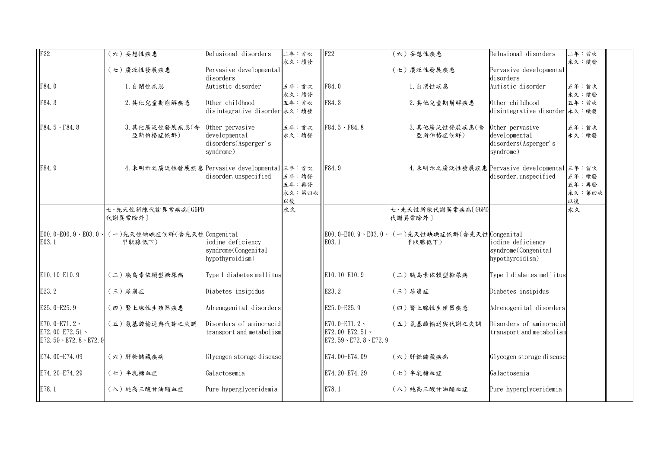| $\overline{F22}$                                                                   | (六)妄想性疾患                                               | Delusional disorders                                                  | 二年:首次                          | F22                                                                              | (六)妄想性疾患                                                 | Delusional disorders                                                  | 二年:首次                          |
|------------------------------------------------------------------------------------|--------------------------------------------------------|-----------------------------------------------------------------------|--------------------------------|----------------------------------------------------------------------------------|----------------------------------------------------------|-----------------------------------------------------------------------|--------------------------------|
|                                                                                    | 〔七〕廣泛性發展疾患                                             | Pervasive developmental<br>disorders                                  | 永久:續發                          |                                                                                  | (七)廣泛性發展疾患                                               | Pervasive developmental<br>disorders                                  | 永久:續發                          |
| F84.0                                                                              | 1. 自閉性疾患                                               | Autistic disorder                                                     | 五年:首次<br>永久:續發                 | F84.0                                                                            | 1. 自閉性疾患                                                 | Autistic disorder                                                     | 五年:首次<br>永久:續發                 |
| F84.3                                                                              | 2. 其他兒童期崩解疾患                                           | Other childhood<br>disintegrative disorder 永久:續發                      | 五年:首次                          | F84.3                                                                            | 2. 其他兒童期崩解疾患                                             | Other childhood<br>disintegrative disorder 永久: 續發                     | 五年:首次                          |
| $F84.5 \cdot F84.8$                                                                | 3. 其他廣泛性發展疾患(含<br>亞斯伯格症候群)                             | Other pervasive<br>developmental<br>disorders(Asperger's<br>syndrome) | 五年:首次<br>永久:續發                 | $F84.5 \cdot F84.8$                                                              | 3. 其他廣泛性發展疾患(含<br>亞斯伯格症候群)                               | Other pervasive<br>developmental<br>disorders(Asperger's<br>syndrome) | 五年:首次<br>永久:續發                 |
| F84.9                                                                              | 4. 未明示之廣泛性發展疾患 Pervasive developmental 三年: 首次          | disorder, unspecified                                                 | 五年:續發<br>五年:再發<br>永久:第四次<br>以後 | F84.9                                                                            | 4. 未明示之廣泛性發展疾患 Pervasive developmental 三年: 首次            | disorder, unspecified                                                 | 五年:續發<br>五年:再發<br>永久:第四次<br>以後 |
|                                                                                    | 七、先天性新陳代謝異常疾病〔G6PD<br>代謝異常除外]                          |                                                                       | 永久                             |                                                                                  | 七、先天性新陳代謝異常疾病〔G6PD<br>代謝異常除外]                            |                                                                       | 永久                             |
| E03.1                                                                              | E00.0-E00.9、E03.0、(一)先天性缺碘症候群(含先天性Congenital<br>甲狀腺低下) | iodine-deficiency<br>syndrome (Congenital<br>hypothyroidism)          |                                | E03.1                                                                            | E00.0-E00.9、E03.0、 (一)先天性缺碘症候群(含先天性 Congenital<br>甲狀腺低下) | iodine-deficiency<br>syndrome(Congenital<br>hypothyroidism)           |                                |
| E10.10-E10.9                                                                       | (二)胰島素依賴型糖尿病                                           | Type 1 diabetes mellitus                                              |                                | E10.10-E10.9                                                                     | (二)胰島素依賴型糖尿病                                             | Type 1 diabetes mellitus                                              |                                |
| E23.2                                                                              | (三) 尿崩症                                                | Diabetes insipidus                                                    |                                | E23.2                                                                            | (三) 尿崩症                                                  | Diabetes insipidus                                                    |                                |
| E25.0-E25.9                                                                        | (四) 腎上腺性生殖器疾患                                          | Adrenogenital disorders                                               |                                | E25.0-E25.9                                                                      | (四) 腎上腺性生殖器疾患                                            | Adrenogenital disorders                                               |                                |
| E70. 0-E71. $2 \cdot$<br>E72.00-E72.51 $\cdot$<br>$E72.59 \cdot E72.8 \cdot E72.9$ | (五) 氨基酸輸送與代謝之失調                                        | Disorders of amino-acid<br>transport and metabolism                   |                                | E70.0-E71.2 $\cdot$<br>E72.00-E72.51 $\cdot$<br>$E72.59 \cdot E72.8 \cdot E72.9$ | (五) 氨基酸輸送與代謝之失調                                          | Disorders of amino-acid<br>transport and metabolism                   |                                |
| E74.00-E74.09                                                                      | (六)肝糖儲藏疾病                                              | Glycogen storage disease                                              |                                | E74.00-E74.09                                                                    | (六)肝糖儲藏疾病                                                | Glycogen storage disease                                              |                                |
| E74. 20-E74. 29                                                                    | (七) 半乳糖血症                                              | Galactosemia                                                          |                                | E74. 20-E74. 29                                                                  | (七) 半乳糖血症                                                | Galactosemia                                                          |                                |
| E78.1                                                                              | (八) 純高三酸甘油酯血症                                          | Pure hyperglyceridemia                                                |                                | E78.1                                                                            | (八)純高三酸甘油酯血症                                             | Pure hyperglyceridemia                                                |                                |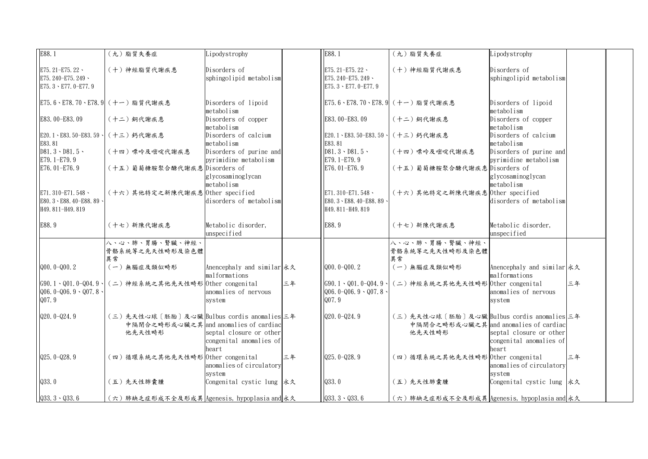| E88.1                                                                                | (九) 脂質失養症                                                                                     | Lipodystrophy                                               |    | E88.1                                                                                | (九) 脂質失養症                                                                                     | Lipodystrophy                                               |    |  |
|--------------------------------------------------------------------------------------|-----------------------------------------------------------------------------------------------|-------------------------------------------------------------|----|--------------------------------------------------------------------------------------|-----------------------------------------------------------------------------------------------|-------------------------------------------------------------|----|--|
| E75. 21-E75. 22 $\cdot$<br>E75. 240-E75. 249 $\cdot$<br>E75. $3 \cdot$ E77. 0-E77. 9 | (十)神經脂質代謝疾患                                                                                   | Disorders of<br>sphingolipid metabolism                     |    | E75. 21-E75. 22 $\cdot$<br>E75. 240-E75. 249 $\cdot$<br>E75. $3 \cdot$ E77. 0-E77. 9 | (十)神經脂質代謝疾患                                                                                   | Disorders of<br>sphingolipid metabolism                     |    |  |
|                                                                                      | E75.6、E78.70、E78.9  (十一) 脂質代謝疾患                                                               | Disorders of lipoid<br>metabolism                           |    |                                                                                      | E75.6、E78.70、E78.9  (十一) 脂質代謝疾患                                                               | Disorders of lipoid<br>metabolism                           |    |  |
| E83.00-E83.09                                                                        | (十二)銅代謝疾患                                                                                     | Disorders of copper<br>metabolism                           |    | E83.00-E83.09                                                                        | (十二)銅代謝疾患                                                                                     | Disorders of copper<br>metabolism                           |    |  |
| E20.1 \ E83.50-E83.59 \<br>E83.81                                                    | (十三)鈣代謝疾患                                                                                     | Disorders of calcium<br>metabolism                          |    | E20.1 \ E83.50-E83.59 \<br>E83.81                                                    | (十三)鈣代謝疾患                                                                                     | Disorders of calcium<br>metabolism                          |    |  |
| $D81.3 \cdot D81.5 \cdot$<br>E79.1-E79.9                                             | (十四) 嘌呤及嘧啶代謝疾患                                                                                | Disorders of purine and<br>pyrimidine metabolism            |    | $D81.3 \cdot D81.5 \cdot$<br>E79.1-E79.9                                             | (十四) 嘌呤及嘧啶代謝疾患                                                                                | Disorders of purine and<br>pyrimidine metabolism            |    |  |
| E76.01-E76.9                                                                         | (十五)葡萄糖胺聚合醣代謝疾患 Disorders of                                                                  | glycosaminoglycan<br>metabolism                             |    | E76.01-E76.9                                                                         | (十五)葡萄糖胺聚合醣代謝疾患 Disorders of                                                                  | glycosaminoglycan<br>metabolism                             |    |  |
| E71.310-E71.548 $\cdot$<br>E80.3 · E88.40-E88.89 ·<br>H49.811-H49.819                | (十六)其他特定之新陳代謝疾患 0ther specified                                                               | disorders of metabolism                                     |    | E71. 310-E71. 548 $\cdot$<br>E80.3 \ E88.40-E88.89<br>H49.811-H49.819                | (十六)其他特定之新陳代謝疾患 0ther specified                                                               | disorders of metabolism                                     |    |  |
| E88.9                                                                                | (十七) 新陳代謝疾患                                                                                   | Metabolic disorder,<br>unspecified                          |    | E88.9                                                                                | (十七) 新陳代謝疾患                                                                                   | Metabolic disorder,<br>unspecified                          |    |  |
|                                                                                      | 八、心、肺、胃腸、腎臟、神經、<br>骨骼系統等之先天性畸形及染色體<br>異常                                                      |                                                             |    |                                                                                      | 八、心、肺、胃腸、腎臟、神經、<br>骨骼系統等之先天性畸形及染色體<br>異常                                                      |                                                             |    |  |
| $Q00.0 - Q00.2$                                                                      | (一) 無腦症及類似畸形                                                                                  | Anencephaly and similar 永久<br>malformations                 |    | $Q00.0 - Q00.2$                                                                      | (一) 無腦症及類似畸形                                                                                  | Anencephaly and similar 永久<br>malformations                 |    |  |
| $Q06.0 - Q06.9 - Q07.8$<br>Q07.9                                                     | [G90.1、Q01.0-Q04.9、 (二)神經系統之其他先天性畸形 Other congenital                                          | anomalies of nervous<br>system                              | 三年 | $G90.1 \cdot Q01.0 - Q04.9 \cdot$<br>$Q06.0-Q06.9 \cdot Q07.8$<br>Q07.9              | (二)神經系統之其他先天性畸形 Other congenital                                                              | anomalies of nervous<br>system                              | 三年 |  |
| $Q20.0 - Q24.9$                                                                      | (三)先天性心球〔胚胎〕及心臟 Bulbus cordis anomalies 三年<br>中隔閉合之畸形或心臟之其 and anomalies of cardiac<br>他先天性畸形 | septal closure or other<br>congenital anomalies of<br>heart |    | $Q20.0 - Q24.9$                                                                      | (三)先天性心球〔胚胎〕及心臟 Bulbus cordis anomalies 三年<br>中隔閉合之畸形或心臟之其 and anomalies of cardiac<br>他先天性畸形 | septal closure or other<br>congenital anomalies of<br>heart |    |  |
| $Q25.0 - Q28.9$                                                                      | (四)循環系統之其他先天性畸形 Other congenital                                                              | anomalies of circulatory                                    | 三年 | $Q25.0 - Q28.9$                                                                      | (四)循環系統之其他先天性畸形 Other congenital                                                              | anomalies of circulatory                                    | 三年 |  |
| Q33.0                                                                                | (五)先天性肺囊腫                                                                                     | system<br>Congenital cystic lung 永久                         |    | Q33.0                                                                                | (五)先天性肺囊腫                                                                                     | system<br> Congenital cystic lung  永久                       |    |  |
| $Q33.3 \cdot Q33.6$                                                                  | (六)肺缺乏症形成不全及形成異 Agenesis, hypoplasia and 永久                                                   |                                                             |    | $Q33.3 \cdot Q33.6$                                                                  | (六)肺缺乏症形成不全及形成異 Agenesis, hypoplasia and 永久                                                   |                                                             |    |  |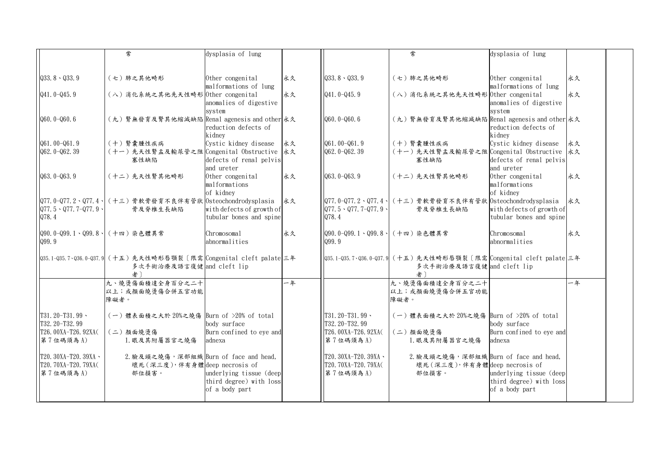|                                                                    | 常                                                                                                | dysplasia of lung                                                    |    |                                                                       |                                                                                                  | dysplasia of lung                                                    |    |
|--------------------------------------------------------------------|--------------------------------------------------------------------------------------------------|----------------------------------------------------------------------|----|-----------------------------------------------------------------------|--------------------------------------------------------------------------------------------------|----------------------------------------------------------------------|----|
|                                                                    |                                                                                                  |                                                                      |    |                                                                       |                                                                                                  |                                                                      |    |
| $Q33.8 \cdot Q33.9$                                                | (七)肺之其他畸形                                                                                        | Other congenital<br>malformations of lung                            | 永久 | $Q33.8 \cdot Q33.9$                                                   | (七)肺之其他畸形                                                                                        | Other congenital<br>malformations of lung                            | 永久 |
| $Q41.0 - Q45.9$                                                    | (八) 消化系統之其他先天性畸形 Other congenital                                                                | anomalies of digestive<br>system                                     | 永久 | $Q41.0 - Q45.9$                                                       | (八) 消化系統之其他先天性畸形 0ther congenital                                                                | anomalies of digestive<br>system                                     | 永久 |
| $Q60.0 - Q60.6$                                                    | (九) 腎無發育及腎其他縮減缺陷 Renal agenesis and other 永久                                                     | reduction defects of<br>kidney                                       |    | $Q60.0 - Q60.6$                                                       | (九) 腎無發育及腎其他縮減缺陷 Renal agenesis and other 永久                                                     | reduction defects of<br>kidney                                       |    |
| $Q61.00 - Q61.9$                                                   | (十) 腎囊腫性疾病                                                                                       | Cystic kidney disease                                                | 永久 | $Q61.00 - Q61.9$                                                      | (十) 腎囊腫性疾病                                                                                       | Cystic kidney disease                                                | 永久 |
| $Q62.0 - Q62.39$                                                   | (十一)先天性腎盂及輸尿管之阻 Congenital Obstructive 永久<br>塞性缺陷                                                | defects of renal pelvis<br>and ureter                                |    | $Q62.0 - Q62.39$                                                      | (十一)先天性腎盂及輸尿管之阻 Congenital Obstructive 永久<br>塞性缺陷                                                | defects of renal pelvis<br>and ureter                                |    |
| $Q63.0 - Q63.9$                                                    | (十二)先天性腎其他畸形                                                                                     | Other congenital<br>malformations<br>of kidney                       | 永久 | $Q63.0 - Q63.9$                                                       | (十二)先天性腎其他畸形                                                                                     | Other congenital<br>malformations<br>of kidney                       | 永久 |
| $Q77.5 \cdot Q77.7 - Q77.9$<br>Q78.4                               | Q77.0-Q77.2、Q77.4、 (十三) 骨軟骨發育不良伴有管狀 Osteochondrodysplasia<br>骨及脊椎生長缺陷                            | with defects of growth of<br>tubular bones and spine                 | 永久 | $ QT7.5 \cdot Q77.7 - Q77.9 $<br>Q78.4                                | Q77.0-Q77.2、Q77.4、 (十三)骨軟骨發育不良伴有管狀  Osteochondrodysplasia <br>骨及脊椎生長缺陷                           | with defects of growth of<br>tubular bones and spine                 | 永久 |
| Q90.0-Q99.1、Q99.8、(十四)染色體異常<br>Q99.9                               |                                                                                                  | Chromosomal<br>abnormalities                                         | 永久 | Q90.0-Q99.1、Q99.8、(十四)染色體異常<br>Q99.9                                  |                                                                                                  | Chromosomal<br>abnormalities                                         | 永久 |
|                                                                    | Q35.1-Q35.7、Q36.0-Q37.9 (十五) 先天性畸形唇顎裂〔限需 Congenital cleft palate 三年<br>多次手術治療及語言復健 and cleft lip |                                                                      |    |                                                                       | Q35.1-Q35.7、Q36.0-Q37.9 (十五)先天性畸形唇顎裂〔限需  Congenital cleft palate 三年<br>多次手術治療及語言復健 and cleft lip |                                                                      |    |
|                                                                    | 九、燒燙傷面積達全身百分之二十<br>以上;或顏面燒燙傷合併五官功能<br>障礙者。                                                       |                                                                      | 一年 |                                                                       | 九、燒燙傷面積達全身百分之二十<br>以上;或顏面燒燙傷合併五官功能<br>障礙者。                                                       |                                                                      | 一年 |
| $T31.20-T31.99$<br>T32.20-T32.99<br>T26.00XA-T26.92XA(<br>第7位碼須為A) | (一)體表面積之大於 20%之燒傷 Burn of >20% of total<br>(二)顏面燒燙傷<br>1. 眼及其附屬器官之燒傷                             | body surface<br>Burn confined to eye and<br>adnexa                   |    | $T31, 20-T31, 99$ .<br>T32.20-T32.99<br>T26.00XA-T26.92XA<br>第7位碼須為A) | (一) 體表面積之大於 20%之燒傷 Burn of >20% of total<br>(二)顏面燒燙傷<br>1. 眼及其附屬器官之燒傷                            | body surface<br>Burn confined to eye and<br>adnexa                   |    |
| $T20.30XA-T20.39XA \cdot$<br>T20. 70XA-T20. 79XA(<br>第7位碼須為A)      | 2. 臉及頭之燒傷,深部組織 Burn of face and head,<br>壞死 (深三度), 伴有身體 deep necrosis of<br>部位損害。                | underlying tissue (deep<br>third degree) with loss<br>of a body part |    | $T20.30XA-T20.39XA$<br>T20. 70XA-T20. 79XA<br>第7位碼須為A)                | 2. 臉及頭之燒傷,深部組織 Burn of face and head,<br>壞死 (深三度), 伴有身體 deep necrosis of<br>部位損害。                | underlying tissue (deep<br>third degree) with loss<br>of a body part |    |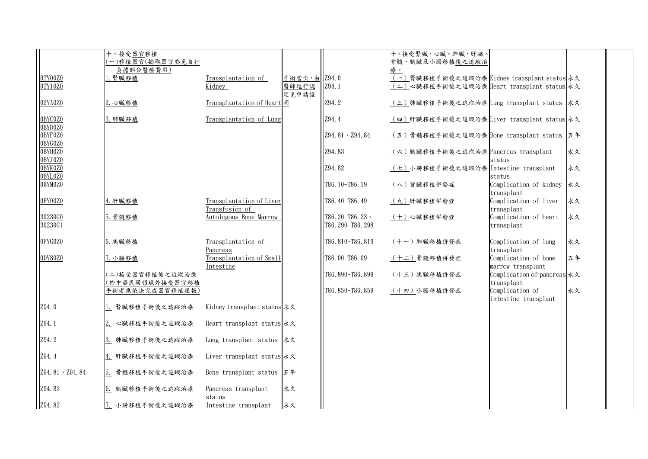|                    | 十、接受器官移植                           |                                            |                |                                           | 十、接受腎臟、心臟、肺臟、肝臟、                                   |                                                   |    |  |
|--------------------|------------------------------------|--------------------------------------------|----------------|-------------------------------------------|----------------------------------------------------|---------------------------------------------------|----|--|
|                    | 一)移植器官(摘取器官亦免自行                    |                                            |                |                                           | 骨髓、胰臟及小腸移植後之追蹤治                                    |                                                   |    |  |
| 0TY00Z0            | 負擔部分醫療費用)<br>1. 腎臟移植               | Transplantation of                         | 手術當次, 由  Z94.0 |                                           | 療。<br>(一)腎臟移植手術後之追蹤治療 Kidney transplant status 永久  |                                                   |    |  |
| 0TY10Z0            |                                    | Kidney                                     | 醫師逕行認          | Z94.1                                     | (二)心臟移植手術後之追蹤治療 Heart transplant status 永久         |                                                   |    |  |
|                    |                                    |                                            | 定免申請證          |                                           |                                                    |                                                   |    |  |
| 02YA0Z0            | 2. 心臟移植                            | Transplantation of Heart 明                 |                | Z94.2                                     | <u>(三)</u> 肺臟移植手術後之追蹤治療 Lung transplant status  永久 |                                                   |    |  |
| 0BYC0Z0            | 3. 肺臟移植                            | Transplantation of Lung                    |                | Z94.4                                     | (四)肝臟移植手術後之追蹤治療 Liver transplant status 永久         |                                                   |    |  |
| 0BYD0Z0<br>0BYF0Z0 |                                    |                                            |                | Z94.81 \ Z94.84                           | (五)骨髓移植手術後之追蹤治療 Bone transplant status 五年          |                                                   |    |  |
| 0BYG0Z0<br>0BYH0Z0 |                                    |                                            |                | Z94.83                                    | (六)胰臟移植手術後之追蹤治療 Pancreas transplant                |                                                   | 永久 |  |
| 0BYJ0Z0<br>0BYK0Z0 |                                    |                                            |                | Z94.82                                    | (七)小腸移植手術後之追蹤治療 Intestine transplant               | status                                            | 永久 |  |
| 0BYL0Z0<br>0BYM0Z0 |                                    |                                            |                | T86.10-T86.19                             | (八) 腎臟移植併發症                                        | status<br>Complication of kidney 永久<br>transplant |    |  |
| 0FY00Z0            | 4. 肝臟移植                            | Transplantation of Liver<br>Transfusion of |                | T86.40-T86.49                             | (九)肝臟移植併發症                                         | Complication of liver<br>transplant               | 永久 |  |
| 30230G0<br>30230G1 | 5. 骨髓移植                            | Autologous Bone Marrow                     |                | T86, $20 - T86$ , $23$<br>T86.290-T86.298 | (十)心臟移植併發症                                         | Complication of heart<br>transplant               | 永久 |  |
| 0FYG0Z0            | 6. 胰臟移植                            | Transplantation of<br>Pancreas             |                | T86, 810-T86, 819                         | (十一)肺臟移植併發症                                        | Complication of lung<br>transplant                | 永久 |  |
| 0DY80Z0            | 7. 小腸移植                            | Transplantation of Small<br>Intestine      |                | T86.00-T86.09                             | (十二)骨髓移植併發症                                        | Complication of bone<br>marrow transplant         | 五年 |  |
|                    | (二)接受器官移植後之追蹤治療<br>(於中華民國領域外接受器官移植 |                                            |                | T86.890-T86.899                           | (十三)胰臟移植併發症                                        | Complication of pancreas 永久<br>transplant         |    |  |
|                    | 手術者應依法完成器官移植通報)                    |                                            |                | T86.850-T86.859                           | (十四)小腸移植併發症                                        | Complication of<br>intestine transplant           | 永久 |  |
| Z94.0              | 1. 腎臟移植手術後之追蹤治療                    | Kidney transplant status 永久                |                |                                           |                                                    |                                                   |    |  |
| Z94.1              | 2. 心臟移植手術後之追蹤治療                    | Heart transplant status 永久                 |                |                                           |                                                    |                                                   |    |  |
| Z94.2              | 3. 肺臟移植手術後之追蹤治療                    | Lung transplant status 永久                  |                |                                           |                                                    |                                                   |    |  |
| Z94.4              | 4. 肝臟移植手術後之追蹤治療                    | Liver transplant status 永久                 |                |                                           |                                                    |                                                   |    |  |
| Z94.81 \ Z94.84    | 5. 骨髓移植手術後之追蹤治療                    | Bone transplant status 五年                  |                |                                           |                                                    |                                                   |    |  |
| Z94.83             | 6. 胰臟移植手術後之追蹤治療                    | Pancreas transplant<br>status              | 永久             |                                           |                                                    |                                                   |    |  |
| Z94.82             | 7. 小腸移植手術後之追蹤治療                    | Intestine transplant                       | 永久             |                                           |                                                    |                                                   |    |  |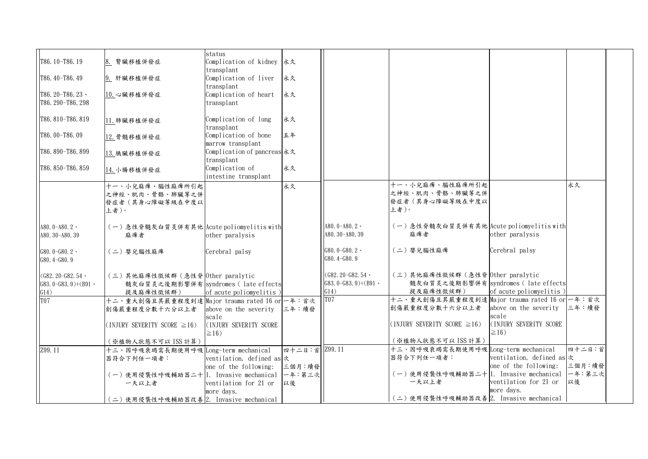|                          |                                                | status                       |                |                       |                                                 |                                   |        |  |
|--------------------------|------------------------------------------------|------------------------------|----------------|-----------------------|-------------------------------------------------|-----------------------------------|--------|--|
|                          |                                                |                              |                |                       |                                                 |                                   |        |  |
| T86, 10-T86, 19          | 8. 腎臟移植併發症                                     | Complication of kidney 永久    |                |                       |                                                 |                                   |        |  |
|                          |                                                | transplant                   |                |                       |                                                 |                                   |        |  |
| T86.40-T86.49            | 9. 肝臟移植併發症                                     | Complication of liver        | 永久             |                       |                                                 |                                   |        |  |
|                          |                                                | transplant                   |                |                       |                                                 |                                   |        |  |
| T86.20-T86.23 $\cdot$    | 10. 心臟移植併發症                                    | Complication of heart        | 永久             |                       |                                                 |                                   |        |  |
| T86, 290-T86, 298        |                                                | transplant                   |                |                       |                                                 |                                   |        |  |
|                          |                                                |                              |                |                       |                                                 |                                   |        |  |
| T86, 810-T86, 819        |                                                | Complication of lung         | 永久             |                       |                                                 |                                   |        |  |
|                          | 11. 肺臟移植併發症                                    |                              |                |                       |                                                 |                                   |        |  |
|                          |                                                | transplant                   |                |                       |                                                 |                                   |        |  |
| T86.00-T86.09            | 12. 骨髓移植併發症                                    | Complication of bone         | 五年             |                       |                                                 |                                   |        |  |
|                          |                                                | marrow transplant            |                |                       |                                                 |                                   |        |  |
| T86, 890-T86, 899        | 13. 胰臟移植併發症                                    | Complication of pancreas 永久  |                |                       |                                                 |                                   |        |  |
|                          |                                                | transplant                   |                |                       |                                                 |                                   |        |  |
| T86.850-T86.859          | 14. 小腸移植併發症                                    | Complication of              | 永久             |                       |                                                 |                                   |        |  |
|                          |                                                | intestine transplant         |                |                       |                                                 |                                   |        |  |
|                          | 十一、小兒麻痺、腦性麻痺所引起                                |                              | 永久             |                       | 十一、小兒麻痺、腦性麻痺所引起                                 |                                   | 永久     |  |
|                          |                                                |                              |                |                       | 之神經、肌肉、骨骼、肺臟等之併                                 |                                   |        |  |
|                          | 之神經、肌肉、骨骼、肺臟等之併                                |                              |                |                       | 發症者(其身心障礙等級在中度以                                 |                                   |        |  |
|                          | 發症者(其身心障礙等級在中度以                                |                              |                |                       |                                                 |                                   |        |  |
|                          | 上者)。                                           |                              |                |                       | 上者)。                                            |                                   |        |  |
|                          |                                                |                              |                |                       |                                                 |                                   |        |  |
| A80. $0 - A80.2$         | (一)急性脊髓灰白質炎併有其他 Acute poliomyelitis with       |                              |                | A80. $0 - A80.2$      | (一)急性脊髓灰白質炎併有其他 Acute poliomyelitis with        |                                   |        |  |
| A80. 30-A80. 39          | 麻痺者                                            | other paralysis              |                | A80. 30-A80. 39       | 麻痺者                                             | other paralysis                   |        |  |
|                          |                                                |                              |                |                       |                                                 |                                   |        |  |
| $G80.0 - G80.2$          | (二)嬰兒腦性麻痺                                      | Cerebral palsy               |                | $G80.0 - G80.2 -$     | (二)嬰兒腦性麻痺                                       | Cerebral palsy                    |        |  |
| G80.4-G80.9              |                                                |                              |                | $G80.4-G80.9$         |                                                 |                                   |        |  |
|                          |                                                |                              |                |                       |                                                 |                                   |        |  |
| $(G82, 20-G82, 54$       | (三)其他麻痺性徵候群 (急性脊 Other paralytic               |                              |                | $(G82, 20-G82, 54)$   | (三)其他麻痺性徵候群 (急性脊 Other paralytic                |                                   |        |  |
| $(G83.0-G83.9)+(B91)$    | 髓灰白質炎之後期影響併有 syndromes ( late effects          |                              |                | $G83.0-G83.9)+(B91$ . | 髓灰白質炎之後期影響併有 syndromes (late effects            |                                   |        |  |
|                          |                                                |                              |                | G14)                  | 提及麻痺性徵候群)                                       | of acute poliomyelitis)           |        |  |
| G14)<br>T <sub>0</sub> 7 | 提及麻痺性徵候群)                                      | of acute poliomy elitis)     |                |                       | ├十二、重大創傷且其嚴重程度到達│Major trauma rated 16 or│一年:首次 |                                   |        |  |
|                          | 十二、重大創傷且其嚴重程度到達 Major trauma rated 16 or 一年:首次 |                              |                |                       |                                                 |                                   |        |  |
|                          | 創傷嚴重程度分數十六分以上者                                 | above on the severity  三年:續發 |                |                       | 創傷嚴重程度分數十六分以上者                                  | above on the severity             | 三年:續發  |  |
|                          |                                                | scale                        |                |                       |                                                 | scale                             |        |  |
|                          | (INJURY SEVERITY SCORE $\geq 16$ )             | (INJURY SEVERITY SCORE       |                |                       | (INJURY SEVERITY SCORE $\geq 16$ )              | I(INJURY SEVERITY SCORE           |        |  |
|                          |                                                | $\geq$ 16)                   |                |                       |                                                 | $\geq$ 16)                        |        |  |
|                          | (※植物人狀態不可以 ISS 計算)                             |                              |                |                       | (※植物人狀態不可以 ISS 計算)                              |                                   |        |  |
| Z99.11                   | 十三、因呼吸衰竭需長期使用呼吸 Long-term mechanical           |                              | 四十二日:首 [299.11 |                       | 十三、因呼吸衰竭需長期使用呼吸 Long-term mechanical            |                                   | 四十二日:首 |  |
|                          | 器符合下列任一項者:                                     | ventilation, defined as 次    |                |                       | 器符合下列任一項者:                                      | ventilation, defined as $\dot{x}$ |        |  |
|                          |                                                | one of the following:        | 三個月:續發         |                       |                                                 | one of the following:             | 三個月:續發 |  |
|                          | (一)使用侵襲性呼吸輔助器二十 1.Invasive mechanical          |                              | 一年:第三次         |                       | (一)使用侵襲性呼吸輔助器二十 1. Invasive mechanical          |                                   | 一年:第三次 |  |
|                          | 一天以上者                                          | ventilation for 21 or        | 以後             |                       | 一天以上者                                           | ventilation for 21 or             | 以後     |  |
|                          |                                                |                              |                |                       |                                                 | more days.                        |        |  |
|                          |                                                | more days.                   |                |                       | (二)使用侵襲性呼吸輔助器改善2. Invasive mechanical           |                                   |        |  |
|                          | (二)使用侵襲性呼吸輔助器改善2. Invasive mechanical          |                              |                |                       |                                                 |                                   |        |  |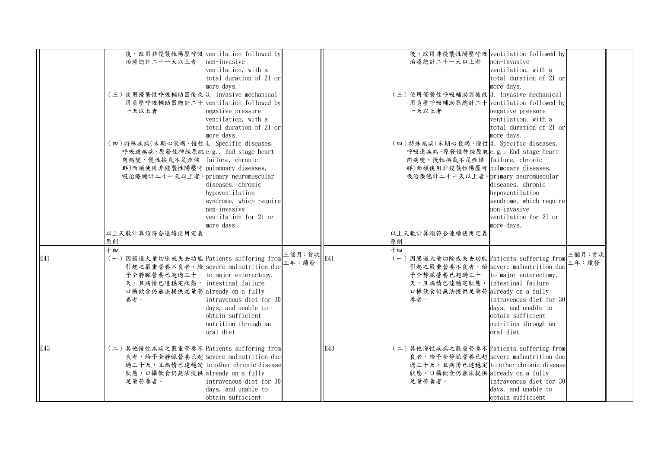|     | 後,改用非侵襲性陽壓呼吸 ventilation followed by                    |                         |                      |     | 後,改用非侵襲性陽壓呼吸 ventilation followed bv    |                         |        |  |
|-----|---------------------------------------------------------|-------------------------|----------------------|-----|-----------------------------------------|-------------------------|--------|--|
|     | 治療總計二十一天以上者                                             | non-invasive            |                      |     | 治療總計二十一天以上者                             | non-invasive            |        |  |
|     |                                                         | ventilation, with a     |                      |     |                                         | ventilation, with a     |        |  |
|     |                                                         | total duration of 21 or |                      |     |                                         |                         |        |  |
|     |                                                         |                         |                      |     |                                         | total duration of 21 or |        |  |
|     |                                                         | more days.              |                      |     |                                         | more days.              |        |  |
|     | (三)使用侵襲性呼吸輔助器後改 3. Invasive mechanical                  |                         |                      |     | (三)使用侵襲性呼吸輔助器後改 3. Invasive mechanical  |                         |        |  |
|     | 用負壓呼吸輔助器總計二十 ventilation followed by                    |                         |                      |     | 用負壓呼吸輔助器總計二十 ventilation followed by    |                         |        |  |
|     | 一天以上者                                                   | negative pressure       |                      |     | 一天以上者                                   | negative pressure       |        |  |
|     |                                                         | ventilation, with a     |                      |     |                                         | ventilation, with a     |        |  |
|     |                                                         | total duration of 21 or |                      |     |                                         | total duration of 21 or |        |  |
|     |                                                         | more days.              |                      |     |                                         | more days.              |        |  |
|     | 〔四〕特殊疾病(末期心衰竭、慢性 4.Specific diseases,                   |                         |                      |     | (四)特殊疾病(末期心衰竭、慢性 4. Specific diseases,  |                         |        |  |
|     | 呼吸道疾病、原發性神經原肌e.g., End stage heart                      |                         |                      |     | 呼吸道疾病、原發性神經原肌e.g., End stage heart      |                         |        |  |
|     | 肉病變、慢性換氣不足症候   failure, chronic                         |                         |                      |     | 肉病變、慢性換氣不足症候 failure, chronic           |                         |        |  |
|     | 群)而須使用非侵襲性陽壓呼 pulmonary diseases,                       |                         |                      |     | 群)而須使用非侵襲性陽壓呼 pulmonary diseases,       |                         |        |  |
|     | 吸治療總計二十一天以上者。primary neuromuscular                      |                         |                      |     | 吸治療總計二十一天以上者。primary neuromuscular      |                         |        |  |
|     |                                                         | diseases, chronic       |                      |     |                                         | diseases, chronic       |        |  |
|     |                                                         | hypoventilation         |                      |     |                                         | hypoventilation         |        |  |
|     |                                                         | syndrome, which require |                      |     |                                         | syndrome, which require |        |  |
|     |                                                         | non-invasive            |                      |     |                                         | non-invasive            |        |  |
|     |                                                         | ventilation for 21 or   |                      |     |                                         | ventilation for 21 or   |        |  |
|     |                                                         |                         |                      |     |                                         |                         |        |  |
|     |                                                         | more days.              |                      |     |                                         | more days.              |        |  |
|     | 以上天數計算須符合連續使用定義                                         |                         |                      |     | 以上天數計算須符合連續使用定義                         |                         |        |  |
|     | 原則                                                      |                         |                      |     | 原則                                      |                         |        |  |
|     | 十四                                                      |                         | 三個月:首次 $\Big _{E41}$ |     | 十四                                      |                         | 三個月:首次 |  |
| E41 | - 1<br>(一)因腸道大量切除或失去功能 Patients suffering from ニ ー . 膚發 |                         |                      |     | (一)因腸道大量切除或失去功能 Patients suffering from |                         | 三年:續發  |  |
|     | 引起之嚴重營養不良者,給 severe malnutrition due                    |                         |                      |     | 引起之嚴重營養不良者,給 severe malnutrition due    |                         |        |  |
|     | 予全静脈營養已超過三十   to major enterectomy,                     |                         |                      |     | 予全靜脈營養已超過三十   to major enterectomy,     |                         |        |  |
|     | 天,且病情已達穩定狀態, intestinal failure                         |                         |                      |     | 天,且病情已達穩定狀態, intestinal failure         |                         |        |  |
|     | 口攝飲食仍無法提供足量營 already on a fully                         |                         |                      |     | 口攝飲食仍無法提供足量營 already on a fully         |                         |        |  |
|     | 養者。                                                     | intravenous diet for 30 |                      |     | 養者。                                     | intravenous diet for 30 |        |  |
|     |                                                         | days, and unable to     |                      |     |                                         | days, and unable to     |        |  |
|     |                                                         | obtain sufficient       |                      |     |                                         | obtain sufficient       |        |  |
|     |                                                         | nutrition through an    |                      |     |                                         | nutrition through an    |        |  |
|     |                                                         | oral diet               |                      |     |                                         | oral diet               |        |  |
|     |                                                         |                         |                      |     |                                         |                         |        |  |
| E43 | (二)其他慢性疾病之嚴重營養不 Patients suffering from                 |                         |                      | E43 | (二)其他慢性疾病之嚴重營養不 Patients suffering from |                         |        |  |
|     | 良者, 給予全靜脈營養已超 severe malnutrition due                   |                         |                      |     | 良者, 給予全靜脈營養已超 severe malnutrition due   |                         |        |  |
|     | 過三十天,且病情已達穩定 to other chronic disease                   |                         |                      |     | 過三十天,且病情已達穩定 to other chronic disease   |                         |        |  |
|     | 狀態, 口攝飲食仍無法提供 already on a fully                        |                         |                      |     | 狀態, 口攝飲食仍無法提供 already on a fully        |                         |        |  |
|     | 足量營養者。                                                  | intravenous diet for 30 |                      |     | 足量營養者。                                  | intravenous diet for 30 |        |  |
|     |                                                         | days, and unable to     |                      |     |                                         | days, and unable to     |        |  |
|     |                                                         |                         |                      |     |                                         |                         |        |  |
|     |                                                         | obtain sufficient       |                      |     |                                         | obtain sufficient       |        |  |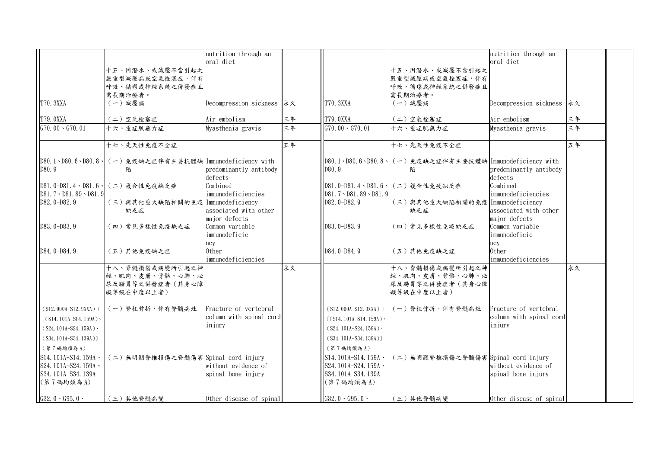|                                   |                                                          | nutrition through an              |    |                                  |                                                          | nutrition through an              |    |
|-----------------------------------|----------------------------------------------------------|-----------------------------------|----|----------------------------------|----------------------------------------------------------|-----------------------------------|----|
|                                   |                                                          | oral diet                         |    |                                  |                                                          | oral diet                         |    |
|                                   | 十五、因潛水、或減壓不當引起之<br>嚴重型減壓病或空氣栓塞症,伴有                       |                                   |    |                                  | 十五、因潛水、或減壓不當引起之<br>嚴重型減壓病或空氣栓塞症,伴有                       |                                   |    |
|                                   | 呼吸、循環或神經系統之併發症且                                          |                                   |    |                                  | 呼吸、循環或神經系統之併發症且                                          |                                   |    |
|                                   | 需長期治療者。                                                  |                                   |    |                                  | 需長期治療者。                                                  |                                   |    |
| T70. 3XXA                         | (一) 減壓病                                                  | Decompression sickness 永久         |    | <b>T70. 3XXA</b>                 | (一) 減壓病                                                  | Decompression sickness 永久         |    |
|                                   |                                                          |                                   |    |                                  |                                                          |                                   |    |
| T79.0XXA                          | (二)空氣栓塞症                                                 | Air embolism                      | 三年 | <b>T79.0XXA</b>                  | (二)空氣栓塞症                                                 | Air embolism                      | 三年 |
| $G70.00 \cdot G70.01$             | 十六、重症肌無力症                                                | Myasthenia gravis                 | 三年 | $G70.00 \cdot G70.01$            | 十六、重症肌無力症                                                | Myasthenia gravis                 | 三年 |
|                                   | 十七、先天性免疫不全症                                              |                                   | 五年 |                                  | 十七、先天性免疫不全症                                              |                                   | 五年 |
|                                   | D80.1、D80.6、D80.8、 (一)免疫缺乏症伴有主要抗體缺 Immunodeficiency with |                                   |    |                                  | D80.1、D80.6、D80.8、 (一)免疫缺乏症伴有主要抗體缺 Immunodeficiency with |                                   |    |
| D80.9                             | 陷                                                        | predominantly antibody<br>defects |    | D80.9                            | 陷                                                        | predominantly antibody<br>defects |    |
|                                   | D81.0-D81.4、D81.6、 (二) 複合性免疫缺乏症                          | Combined                          |    |                                  | D81.0-D81.4、D81.6、 (二) 複合性免疫缺乏症                          | Combined                          |    |
| $D81.7 \cdot D81.89 \cdot D81.9$  |                                                          | immunodeficiencies                |    | $D81.7 \cdot D81.89 \cdot D81.9$ |                                                          | immunodeficiencies                |    |
| $D82.0-D82.9$                     | (三)與其他重大缺陷相關的免疫   Immunodeficiency                       |                                   |    | D82.0-D82.9                      | (三)與其他重大缺陷相關的免疫 Immunodeficiency                         |                                   |    |
|                                   | 缺乏症                                                      | associated with other             |    |                                  | 缺乏症                                                      | associated with other             |    |
| D83.0-D83.9                       |                                                          | major defects<br>Common variable  |    | $D83.0-D83.9$                    |                                                          | major defects<br>Common variable  |    |
|                                   | (四)常見多樣性免疫缺乏症                                            | immunodeficie                     |    |                                  | (四)常見多樣性免疫缺乏症                                            | immunodeficie                     |    |
|                                   |                                                          | ncy                               |    |                                  |                                                          | ncy                               |    |
| D84.0-D84.9                       | (五)其他免疫缺乏症                                               | 0ther                             |    | D84.0-D84.9                      | (五)其他免疫缺乏症                                               | 0ther                             |    |
|                                   |                                                          | immunodeficiencies                |    |                                  |                                                          | immunodeficiencies                |    |
|                                   | 十八、脊髓損傷或病變所引起之神                                          |                                   | 永久 |                                  | 十八、脊髓損傷或病變所引起之神                                          |                                   | 永久 |
|                                   | 經、肌肉、皮膚、骨骼、心肺、泌                                          |                                   |    |                                  | 經、肌肉、皮膚、骨骼、心肺、泌                                          |                                   |    |
|                                   | 尿及腸胃等之併發症者(其身心障<br>礙等級在中度以上者)                            |                                   |    |                                  | 尿及腸胃等之併發症者(其身心障<br>礙等級在中度以上者)                            |                                   |    |
| $(S12.000A-S12.9XXX) +$           | (一) 脊柱骨折,伴有脊髓病灶                                          | Fracture of vertebral             |    | $(S12.000A-S12.9XXA) +$          | (一) 脊柱骨折,伴有脊髓病灶                                          | Fracture of vertebral             |    |
| $($ (S14, 101A-S14, 159A) $\cdot$ |                                                          | column with spinal cord           |    | $((S14.101A-S14.159A)$           |                                                          | column with spinal cord           |    |
| $(S24.101A-S24.159A)$             |                                                          | injury                            |    | $(S24.101A-S24.159A)$            |                                                          | injury                            |    |
| $(S34.101A-S34.139A))$            |                                                          |                                   |    | $(S34.101A-S34.139A))$           |                                                          |                                   |    |
| (第7碼均須為A)                         |                                                          |                                   |    | (第7碼均須為A)                        |                                                          |                                   |    |
| $SI4.101A-S14.159A \cdot$         | (二)無明顯脊椎損傷之脊髓傷害 Spinal cord injury                       |                                   |    | $SI4.101A-S14.159A$              | (二)無明顯脊椎損傷之脊髓傷害 Spinal cord injury                       |                                   |    |
| $S24.101A-S24.159A$               |                                                          | without evidence of               |    | $S24.101A-S24.159A \cdot$        |                                                          | without evidence of               |    |
| S34.101A-S34.139A                 |                                                          | spinal bone injury                |    | S34.101A-S34.139A                |                                                          | spinal bone injury                |    |
| (第7碼均須為A)                         |                                                          |                                   |    | (第7碼均須為A)                        |                                                          |                                   |    |
| $G32.0 \cdot G95.0 \cdot$         | (三)其他脊髓病變                                                | Other disease of spinal           |    | $G32.0 \cdot G95.0 \cdot$        | (三)其他脊髓病變                                                | Other disease of spinal           |    |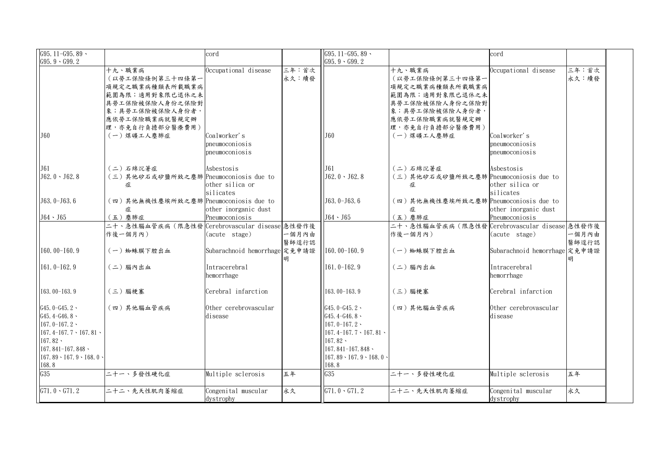| G95.11-G95.89 $\cdot$                                                                                                                                                            |                                                                                                                                                           | cord                                                                     |                | $G95.11 - G95.89$                                                                                                                                                                          |                                                                                                                                                           | cord                                                                     |                |
|----------------------------------------------------------------------------------------------------------------------------------------------------------------------------------|-----------------------------------------------------------------------------------------------------------------------------------------------------------|--------------------------------------------------------------------------|----------------|--------------------------------------------------------------------------------------------------------------------------------------------------------------------------------------------|-----------------------------------------------------------------------------------------------------------------------------------------------------------|--------------------------------------------------------------------------|----------------|
| $G95.9 \cdot G99.2$                                                                                                                                                              |                                                                                                                                                           |                                                                          |                | $G95.9 \cdot G99.2$                                                                                                                                                                        |                                                                                                                                                           |                                                                          |                |
| J60                                                                                                                                                                              | 十九、職業病<br>(以勞工保險條例第三十四條第一 <br>項規定之職業病種類表所載職業病<br>範圍為限;適用對象限已退休之未<br>具勞工保險被保險人身份之保險對<br>象;具勞工保險被保險人身份者,<br>應依勞工保險職業病就醫規定辦<br>理,亦免自行負擔部分醫療費用)<br>(一)煤礦工人塵肺症 | Occupational disease<br>Coalworker's<br>pneumoconiosis<br>pneumoconiosis | 三年:首次<br>永久:續發 | J60                                                                                                                                                                                        | 十九、職業病<br>(以勞工保險條例第三十四條第一<br>項規定之職業病種類表所載職業病<br>範圍為限;適用對象限已退休之未<br>具勞工保險被保險人身份之保險對<br>象;具勞工保險被保險人身份者,<br>應依勞工保險職業病就醫規定辦<br>理,亦免自行負擔部分醫療費用)<br>(一) 煤礦工人塵肺症 | Occupational disease<br>Coalworker's<br>pneumoconiosis<br>pneumoconiosis | 三年:首次<br>永久:續發 |
| J61<br>$J62.0 \cdot J62.8$                                                                                                                                                       | (二)石綿沉著症<br>(三)其他矽石或矽鹽所致之塵肺 Pneumoconiosis due to<br>症                                                                                                    | Asbestosis<br>other silica or<br>silicates                               |                | J61<br>$J62.0 \cdot J62.8$                                                                                                                                                                 | (二)石綿沉著症<br>(三)其他矽石或矽鹽所致之塵肺 Pneumoconiosis due to<br>症                                                                                                    | Asbestosis<br>other silica or<br>silicates                               |                |
| $J63.0-J63.6$<br>$J64 \cdot J65$                                                                                                                                                 | 〔四〕其他無機性塵埃所致之塵肺 Pneumoconiosis due to<br>症                                                                                                                | other inorganic dust                                                     |                | J63.0-J63.6                                                                                                                                                                                | (四)其他無機性塵埃所致之塵肺 Pneumoconiosis due to<br>症                                                                                                                | other inorganic dust                                                     |                |
|                                                                                                                                                                                  | (五)塵肺症<br>二十、急性腦血管疾病(限急性發 Cerebrovascular disease 急性發作後<br>作後一個月內)                                                                                        | Pneumoconiosis<br>(acute stage)                                          | 一個月內由<br>醫師逕行認 | $J64 \cdot J65$                                                                                                                                                                            | (五) 塵肺症<br>二十、急性腦血管疾病(限急性發 Cerebrovascular disease 急性發作後<br>作後一個月內)                                                                                       | Pneumoconiosis<br>(acute stage)                                          | 一個月內由<br>醫師逕行認 |
| 160.00-160.9                                                                                                                                                                     | (一) 蜘蛛膜下腔出血                                                                                                                                               | Subarachnoid hemorrhage 定免申請證                                            |                | $[160, 00 - 160, 9]$                                                                                                                                                                       | (一) 蜘蛛膜下腔出血                                                                                                                                               | Subarachnoid hemorrhage 定免申請證                                            |                |
| $[161.0 - 162.9]$                                                                                                                                                                | (二)腦內出血                                                                                                                                                   | Intracerebral<br>hemorrhage                                              |                | $[161.0 - 162.9]$                                                                                                                                                                          | (二)腦內出血                                                                                                                                                   | Intracerebral<br>hemorrhage                                              |                |
| $I63.00-I63.9$                                                                                                                                                                   | (三) 腦梗塞                                                                                                                                                   | Cerebral infarction                                                      |                | $I63.00-I63.9$                                                                                                                                                                             | (三) 腦梗塞                                                                                                                                                   | Cerebral infarction                                                      |                |
| $\sqrt{G45.0} - G45.2$<br>$G45.4-G46.8$<br>$167.0 - 167.2$<br>$167.4 - 167.7 \cdot 167.81$<br>$167.82 \cdot$<br>$I67.841 - I67.848$<br>$167.89 \cdot 167.9 \cdot 168.0$<br>I68.8 | (四)其他腦血管疾病                                                                                                                                                | Other cerebrovascular<br>disease                                         |                | G45.0-G45.2 $\cdot$<br>$G45.4-G46.8$<br>$167.0 - 167.2$<br>$[167.4 - 167.7 \cdot 167.81]$<br>$167.82 \cdot$<br>$[167, 841 - 167, 848]$<br>$[167.89 \cdot 167.9 \cdot 168.0 \cdot$<br>I68.8 | (四)其他腦血管疾病                                                                                                                                                | Other cerebrovascular<br>disease                                         |                |
| G35                                                                                                                                                                              | 二十一、多發性硬化症                                                                                                                                                | Multiple sclerosis                                                       | 五年             | G35                                                                                                                                                                                        | 二十一、多發性硬化症                                                                                                                                                | Multiple sclerosis                                                       | 五年             |
| $G71.0 \cdot G71.2$                                                                                                                                                              | 二十二、先天性肌肉萎缩症                                                                                                                                              | Congenital muscular<br>dystrophy                                         | 永久             | $G71.0 \cdot G71.2$                                                                                                                                                                        | 二十二、先天性肌肉萎缩症                                                                                                                                              | Congenital muscular<br>dystrophy                                         | 永久             |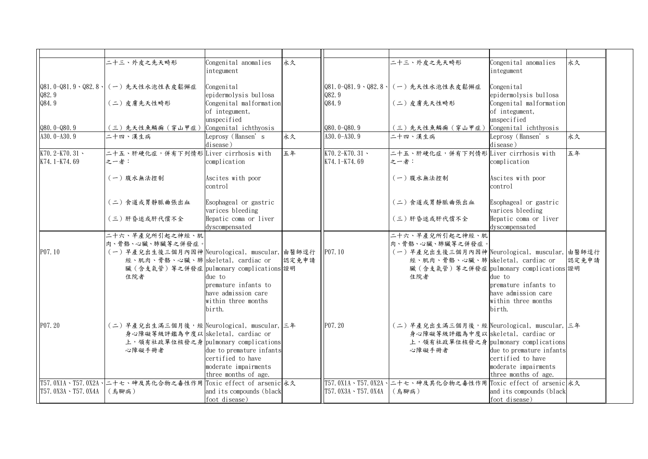|                                      | 二十三、外皮之先天畸形                                                                        | Congenital anomalies<br>integument                       | 永久    |                                      | 二十三、外皮之先天畸形                                                                        | Congenital anomalies<br>integument                       | 永久    |
|--------------------------------------|------------------------------------------------------------------------------------|----------------------------------------------------------|-------|--------------------------------------|------------------------------------------------------------------------------------|----------------------------------------------------------|-------|
| Q82.9                                | Q81.0-Q81.9、Q82.8、 (一)先天性水泡性表皮鬆懈症                                                  | Congenital<br>epidermolysis bullosa                      |       | Q82.9                                | Q81.0-Q81.9、Q82.8、 (一)先天性水泡性表皮鬆懈症                                                  | Congenital<br>epidermolysis bullosa                      |       |
| Q84.9                                | (二)皮膚先天性畸形                                                                         | Congenital malformation<br>of integument,<br>unspecified |       | Q84.9                                | (二)皮膚先天性畸形                                                                         | Congenital malformation<br>of integument,<br>unspecified |       |
| $Q80.0 - Q80.9$                      | (三)先天性魚鱗癬 (穿山甲症)                                                                   | Congenital ichthyosis                                    |       | $Q80.0 - Q80.9$                      | (三) 先天性魚鱗癬(穿山甲症)                                                                   | Congenital ichthyosis                                    |       |
| A30.0-A30.9                          | 二十四、漢生病                                                                            | Leprosy (Hansen's<br>disease)                            | 永久    | A30. $0 - A30.9$                     | 二十四、漢生病                                                                            | Leprosy (Hansen's<br>disease)                            | 永久    |
| K70.2-K70.31 $\cdot$<br>K74.1-K74.69 | 二十五、肝硬化症,併有下列情形 Liver cirrhosis with<br>之一者:                                       | complication                                             | 五年    | K70.2-K70.31 $\cdot$<br>K74.1-K74.69 | 二十五、肝硬化症,併有下列情形 Liver cirrhosis with<br>之一者:                                       | complication                                             | 五年    |
|                                      | (一) 腹水無法控制                                                                         | Ascites with poor<br>control                             |       |                                      | (一)腹水無法控制                                                                          | Ascites with poor<br>control                             |       |
|                                      | 二)食道或胃靜脈曲張出血                                                                       | Esophageal or gastric<br>varices bleeding                |       |                                      | 二)食道或胃静脈曲張出血                                                                       | Esophageal or gastric<br>varices bleeding                |       |
|                                      | (三)肝昏迷或肝代償不全                                                                       | Hepatic coma or liver<br>dyscompensated                  |       |                                      | (三)肝昏迷或肝代償不全                                                                       | Hepatic coma or liver<br>dyscompensated                  |       |
|                                      | 二十六、早產兒所引起之神經、肌                                                                    |                                                          |       |                                      | 二十六、早產兒所引起之神經、肌                                                                    |                                                          |       |
|                                      | 肉、骨骼、心臟、肺臟等之併發症。                                                                   |                                                          |       |                                      | 肉、骨骼、心臟、肺臟等之併發症。                                                                   |                                                          |       |
| P07.10                               | (一)早產兒出生後三個月內因神 Neurological, muscular, 由醫師逕行<br>經、肌肉、骨骼、心臟、肺 skeletal, cardiac or |                                                          | 認定免申請 | P07.10                               | (一)早產兒出生後三個月內因神 Neurological, muscular, 由醫師逕行<br>經、肌肉、骨骼、心臟、肺 skeletal, cardiac or |                                                          | 認定免申請 |
|                                      | 臟(含支氣管)等之併發症 pulmonary complications 證明                                            |                                                          |       |                                      | 臟(含支氣管)等之併發症 pulmonary complications 證明                                            |                                                          |       |
|                                      | 住院者                                                                                | due to                                                   |       |                                      | 住院者                                                                                | due to                                                   |       |
|                                      |                                                                                    | premature infants to                                     |       |                                      |                                                                                    | premature infants to                                     |       |
|                                      |                                                                                    | have admission care                                      |       |                                      |                                                                                    | have admission care                                      |       |
|                                      |                                                                                    | within three months                                      |       |                                      |                                                                                    | within three months                                      |       |
|                                      |                                                                                    | birth.                                                   |       |                                      |                                                                                    | birth.                                                   |       |
| P07.20                               | (二)早產兒出生滿三個月後,經 Neurological, muscular, 三年                                         |                                                          |       | P07.20                               | (二)早產兒出生滿三個月後,經 Neurological, muscular, 三年                                         |                                                          |       |
|                                      | 身心障礙等級評鑑為中度以 skeletal, cardiac or                                                  |                                                          |       |                                      | 身心障礙等級評鑑為中度以 skeletal, cardiac or                                                  |                                                          |       |
|                                      | 上,領有社政單位核發之身 pulmonary complications                                               |                                                          |       |                                      | 上,領有社政單位核發之身 pulmonary complications                                               |                                                          |       |
|                                      | 心障礙手冊者                                                                             | due to premature infants                                 |       |                                      | 心障礙手冊者                                                                             | due to premature infants                                 |       |
|                                      |                                                                                    | certified to have                                        |       |                                      |                                                                                    | certified to have                                        |       |
|                                      |                                                                                    | moderate impairments                                     |       |                                      |                                                                                    | moderate impairments                                     |       |
|                                      |                                                                                    | three months of age.                                     |       |                                      |                                                                                    | three months of age.                                     |       |
|                                      | T57.0X1A、T57.0X2A、 二十七、砷及其化合物之毒性作用 Toxic effect of arsenic 永久                      |                                                          |       |                                      | T57.0X1A、T57.0X2A、 ニナセ、砷及其化合物之毒性作用 Toxic effect of arsenic 永久                      |                                                          |       |
| T57.0X3A、T57.0X4A                    | (烏腳病)                                                                              | and its compounds (black                                 |       | T57.0X3A、T57.0X4A                    | (烏腳病)                                                                              | and its compounds (black                                 |       |
|                                      |                                                                                    | foot disease)                                            |       |                                      |                                                                                    | foot disease)                                            |       |